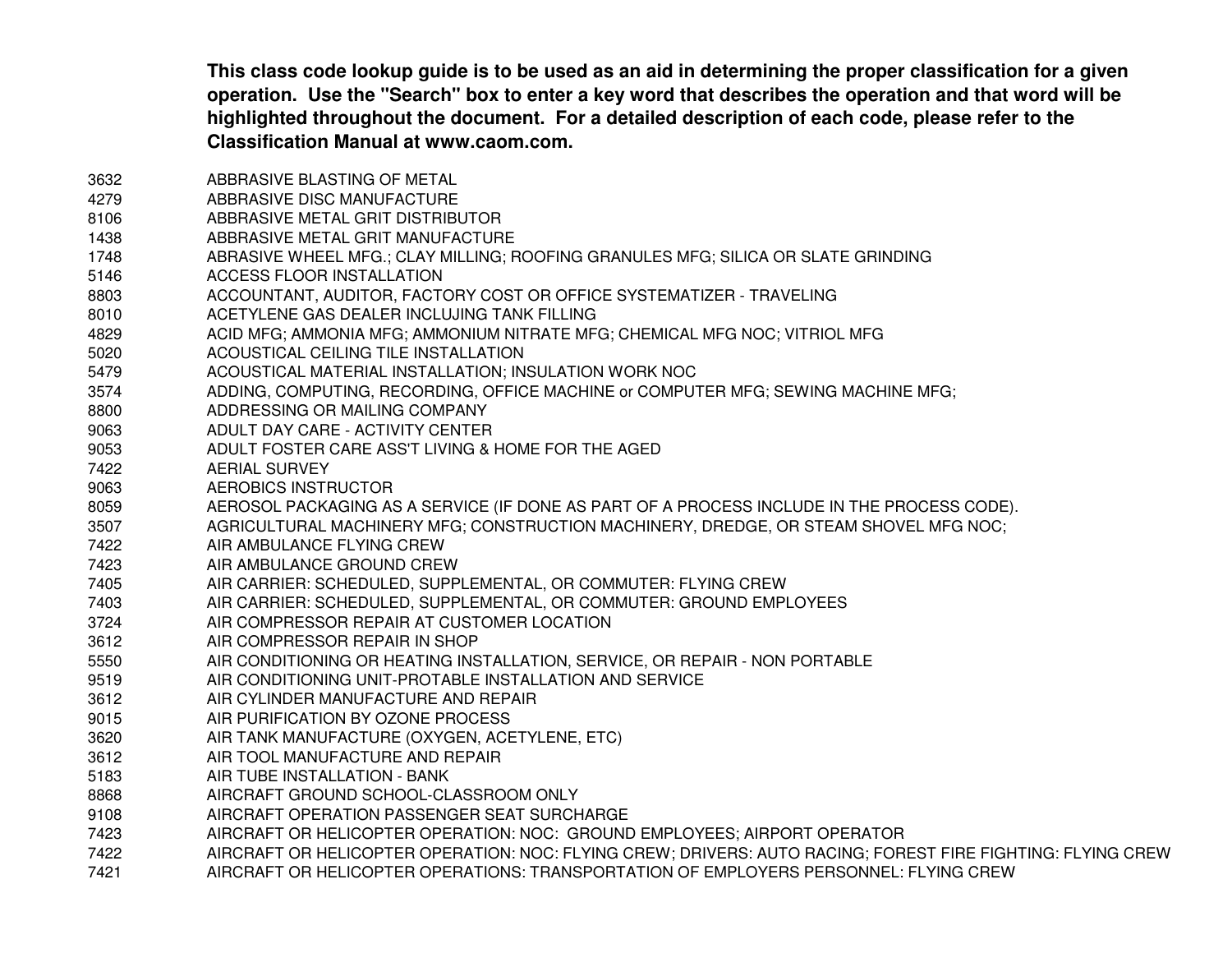This class code lookup guide is to be used as an aid in determining the proper classification for a given operation. Use the "Search" box to enter a key word that describes the operation and that word will be **highlighted throughout the document. For <sup>a</sup> detailed description of each code, please refer to the Classification Manual at www.caom.com.**

3632 ABBRASIVE BLASTING OF METAL 4279 ABBRASIVE DISC MANUFACTURE 8106 ABBRASIVE METAL GRIT DISTRIBUTOR1438 ABBRASIVE METAL GRIT MANUFACTURE 1748 ABRASIVE WHEEL MFG.; CLAY MILLING; ROOFING GRANULES MFG; SILICA OR SLATE GRINDING 5146 ACCESS FLOOR INSTALLATION 8803 ACCOUNTANT, AUDITOR, FACTORY COST OR OFFICE SYSTEMATIZER - TRAVELING 8010 ACETYLENE GAS DEALER INCLUJING TANK FILLING 4829 ACID MFG; AMMONIA MFG; AMMONIUM NITRATE MFG; CHEMICAL MFG NOC; VITRIOL MFG 5020 ACOUSTICAL CEILING TILE INSTALLATION 5479 ACOUSTICAL MATERIAL INSTALLATION; INSULATION WORK NOC 3574 ADDING, COMPUTING, RECORDING, OFFICE MACHINE or COMPUTER MFG; SEWING MACHINE MFG; 8800 ADDRESSING OR MAILING COMPANY 9063 ADULT DAY CARE - ACTIVITY CENTER9053 ADULT FOSTER CARE ASS'T LIVING & HOME FOR THE AGED 7422 AERIAL SURVEY9063 AEROBICS INSTRUCTOR8059 AEROSOL PACKAGING AS A SERVICE (IF DONE AS PART OF A PROCESS INCLUDE IN THE PROCESS CODE). 3507 AGRICULTURAL MACHINERY MFG; CONSTRUCTION MACHINERY, DREDGE, OR STEAM SHOVEL MFG NOC; 7422 AIR AMBULANCE FLYING CREW7423 AIR AMBULANCE GROUND CREW7405 AIR CARRIER: SCHEDULED, SUPPLEMENTAL, OR COMMUTER: FLYING CREW 7403 AIR CARRIER: SCHEDULED, SUPPLEMENTAL, OR COMMUTER: GROUND EMPLOYEES 3724 AIR COMPRESSOR REPAIR AT CUSTOMER LOCATION 3612 AIR COMPRESSOR REPAIR IN SHOP 5550 AIR CONDITIONING OR HEATING INSTALLATION, SERVICE, OR REPAIR - NON PORTABLE 9519 AIR CONDITIONING UNIT-PROTABLE INSTALLATION AND SERVICE 3612 AIR CYLINDER MANUFACTURE AND REPAIR 9015 AIR PURIFICATION BY OZONE PROCESS 3620 AIR TANK MANUFACTURE (OXYGEN, ACETYLENE, ETC) 3612 AIR TOOL MANUFACTURE AND REPAIR 5183 AIR TUBE INSTALLATION - BANK 8868 AIRCRAFT GROUND SCHOOL-CLASSROOM ONLY 9108 AIRCRAFT OPERATION PASSENGER SEAT SURCHARGE 7423 AIRCRAFT OR HELICOPTER OPERATION: NOC: GROUND EMPLOYEES; AIRPORT OPERATOR 7422 AIRCRAFT OR HELICOPTER OPERATION: NOC: FLYING CREW; DRIVERS: AUTO RACING; FOREST FIRE FIGHTING: FLYING CREW 7421AIRCRAFT OR HELICOPTER OPERATIONS: TRANSPORTATION OF EMPLOYERS PERSONNEL: FLYING CREW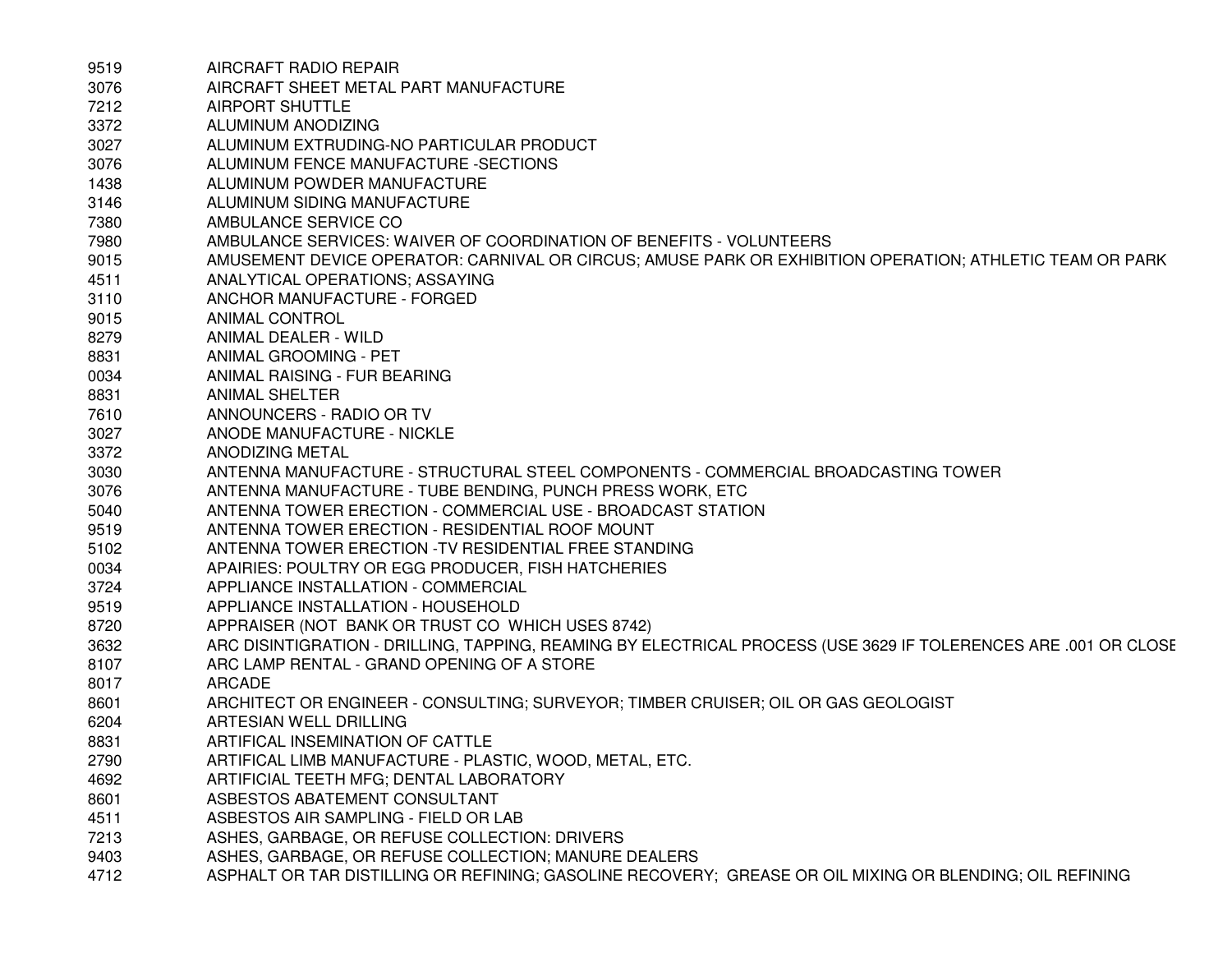| 9519 | AIRCRAFT RADIO REPAIR                                                                                           |
|------|-----------------------------------------------------------------------------------------------------------------|
| 3076 | AIRCRAFT SHEET METAL PART MANUFACTURE                                                                           |
| 7212 | <b>AIRPORT SHUTTLE</b>                                                                                          |
| 3372 | ALUMINUM ANODIZING                                                                                              |
| 3027 | ALUMINUM EXTRUDING-NO PARTICULAR PRODUCT                                                                        |
| 3076 | ALUMINUM FENCE MANUFACTURE -SECTIONS                                                                            |
| 1438 | ALUMINUM POWDER MANUFACTURE                                                                                     |
| 3146 | ALUMINUM SIDING MANUFACTURE                                                                                     |
| 7380 | AMBULANCE SERVICE CO                                                                                            |
| 7980 | AMBULANCE SERVICES: WAIVER OF COORDINATION OF BENEFITS - VOLUNTEERS                                             |
| 9015 | AMUSEMENT DEVICE OPERATOR: CARNIVAL OR CIRCUS; AMUSE PARK OR EXHIBITION OPERATION; ATHLETIC TEAM OR PARK        |
| 4511 | ANALYTICAL OPERATIONS; ASSAYING                                                                                 |
| 3110 | ANCHOR MANUFACTURE - FORGED                                                                                     |
| 9015 | ANIMAL CONTROL                                                                                                  |
| 8279 | ANIMAL DEALER - WILD                                                                                            |
| 8831 | ANIMAL GROOMING - PET                                                                                           |
| 0034 | ANIMAL RAISING - FUR BEARING                                                                                    |
| 8831 | <b>ANIMAL SHELTER</b>                                                                                           |
| 7610 | ANNOUNCERS - RADIO OR TV                                                                                        |
| 3027 | ANODE MANUFACTURE - NICKLE                                                                                      |
| 3372 | ANODIZING METAL                                                                                                 |
| 3030 | ANTENNA MANUFACTURE - STRUCTURAL STEEL COMPONENTS - COMMERCIAL BROADCASTING TOWER                               |
| 3076 | ANTENNA MANUFACTURE - TUBE BENDING, PUNCH PRESS WORK, ETC                                                       |
| 5040 | ANTENNA TOWER ERECTION - COMMERCIAL USE - BROADCAST STATION                                                     |
| 9519 | ANTENNA TOWER ERECTION - RESIDENTIAL ROOF MOUNT                                                                 |
| 5102 | ANTENNA TOWER ERECTION - TV RESIDENTIAL FREE STANDING                                                           |
| 0034 | APAIRIES: POULTRY OR EGG PRODUCER, FISH HATCHERIES                                                              |
| 3724 | APPLIANCE INSTALLATION - COMMERCIAL                                                                             |
| 9519 | APPLIANCE INSTALLATION - HOUSEHOLD                                                                              |
| 8720 | APPRAISER (NOT BANK OR TRUST CO WHICH USES 8742)                                                                |
| 3632 | ARC DISINTIGRATION - DRILLING, TAPPING, REAMING BY ELECTRICAL PROCESS (USE 3629 IF TOLERENCES ARE .001 OR CLOSE |
| 8107 | ARC LAMP RENTAL - GRAND OPENING OF A STORE                                                                      |
| 8017 | ARCADE                                                                                                          |
| 8601 | ARCHITECT OR ENGINEER - CONSULTING; SURVEYOR; TIMBER CRUISER; OIL OR GAS GEOLOGIST                              |
| 6204 | ARTESIAN WELL DRILLING                                                                                          |
| 8831 | ARTIFICAL INSEMINATION OF CATTLE                                                                                |
| 2790 | ARTIFICAL LIMB MANUFACTURE - PLASTIC, WOOD, METAL, ETC.                                                         |
| 4692 | ARTIFICIAL TEETH MFG; DENTAL LABORATORY                                                                         |
| 8601 | ASBESTOS ABATEMENT CONSULTANT                                                                                   |
| 4511 | ASBESTOS AIR SAMPLING - FIELD OR LAB                                                                            |
| 7213 | ASHES, GARBAGE, OR REFUSE COLLECTION: DRIVERS                                                                   |
| 9403 | ASHES, GARBAGE, OR REFUSE COLLECTION; MANURE DEALERS                                                            |
| 4712 | ASPHALT OR TAR DISTILLING OR REFINING; GASOLINE RECOVERY; GREASE OR OIL MIXING OR BLENDING; OIL REFINING        |
|      |                                                                                                                 |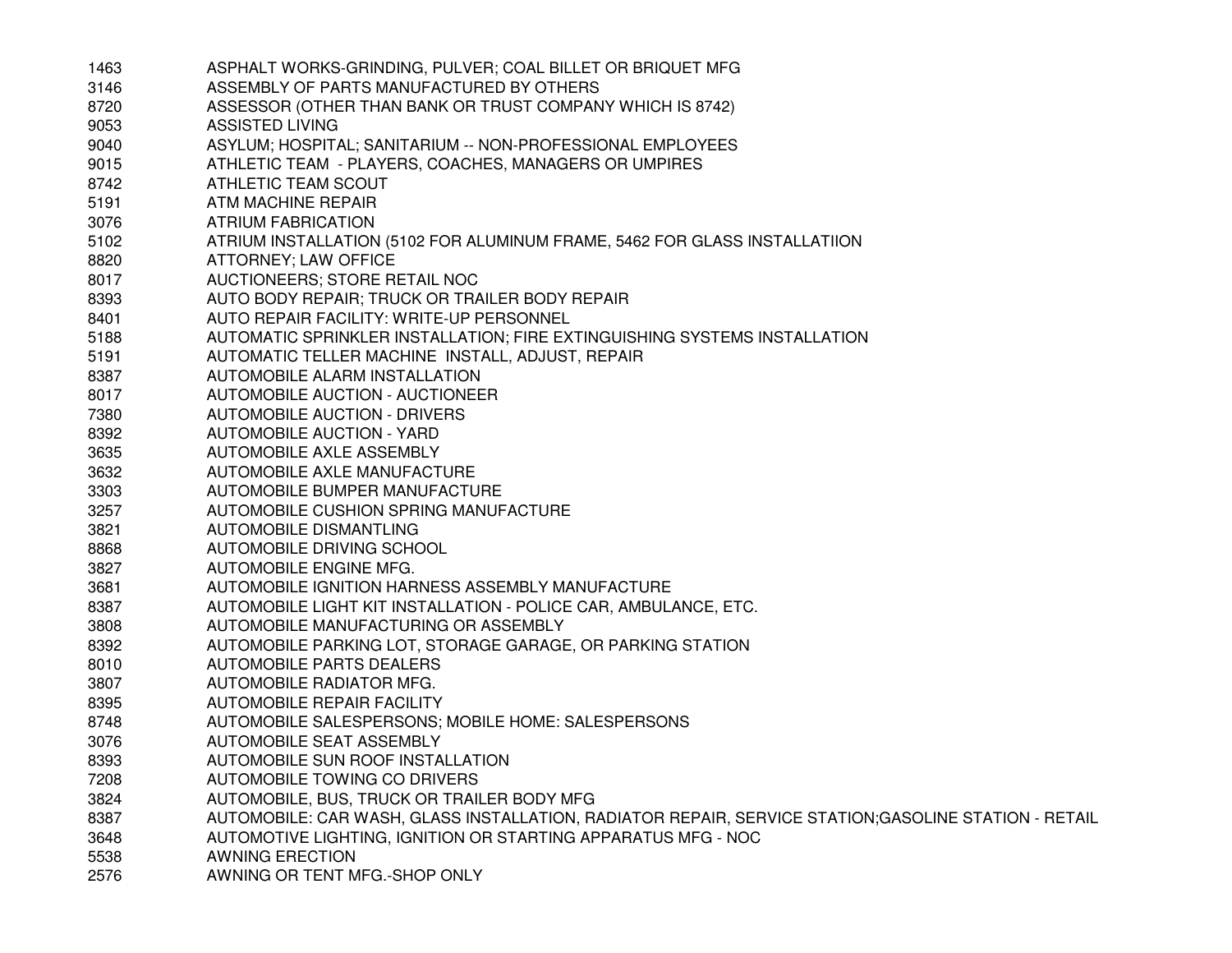| 1463 | ASPHALT WORKS-GRINDING, PULVER; COAL BILLET OR BRIQUET MFG                                           |
|------|------------------------------------------------------------------------------------------------------|
| 3146 | ASSEMBLY OF PARTS MANUFACTURED BY OTHERS                                                             |
| 8720 | ASSESSOR (OTHER THAN BANK OR TRUST COMPANY WHICH IS 8742)                                            |
| 9053 | <b>ASSISTED LIVING</b>                                                                               |
| 9040 | ASYLUM; HOSPITAL; SANITARIUM -- NON-PROFESSIONAL EMPLOYEES                                           |
| 9015 | ATHLETIC TEAM - PLAYERS, COACHES, MANAGERS OR UMPIRES                                                |
| 8742 | ATHLETIC TEAM SCOUT                                                                                  |
| 5191 | ATM MACHINE REPAIR                                                                                   |
| 3076 | ATRIUM FABRICATION                                                                                   |
| 5102 | ATRIUM INSTALLATION (5102 FOR ALUMINUM FRAME, 5462 FOR GLASS INSTALLATIION                           |
| 8820 | ATTORNEY; LAW OFFICE                                                                                 |
| 8017 | AUCTIONEERS; STORE RETAIL NOC                                                                        |
| 8393 | AUTO BODY REPAIR; TRUCK OR TRAILER BODY REPAIR                                                       |
| 8401 | AUTO REPAIR FACILITY: WRITE-UP PERSONNEL                                                             |
| 5188 | AUTOMATIC SPRINKLER INSTALLATION; FIRE EXTINGUISHING SYSTEMS INSTALLATION                            |
| 5191 | AUTOMATIC TELLER MACHINE INSTALL, ADJUST, REPAIR                                                     |
| 8387 | AUTOMOBILE ALARM INSTALLATION                                                                        |
| 8017 | AUTOMOBILE AUCTION - AUCTIONEER                                                                      |
| 7380 | <b>AUTOMOBILE AUCTION - DRIVERS</b>                                                                  |
| 8392 | <b>AUTOMOBILE AUCTION - YARD</b>                                                                     |
| 3635 | AUTOMOBILE AXLE ASSEMBLY                                                                             |
| 3632 | AUTOMOBILE AXLE MANUFACTURE                                                                          |
| 3303 | AUTOMOBILE BUMPER MANUFACTURE                                                                        |
| 3257 | AUTOMOBILE CUSHION SPRING MANUFACTURE                                                                |
| 3821 | AUTOMOBILE DISMANTLING                                                                               |
| 8868 | AUTOMOBILE DRIVING SCHOOL                                                                            |
| 3827 | AUTOMOBILE ENGINE MFG.                                                                               |
| 3681 | AUTOMOBILE IGNITION HARNESS ASSEMBLY MANUFACTURE                                                     |
| 8387 | AUTOMOBILE LIGHT KIT INSTALLATION - POLICE CAR, AMBULANCE, ETC.                                      |
| 3808 | AUTOMOBILE MANUFACTURING OR ASSEMBLY                                                                 |
| 8392 | AUTOMOBILE PARKING LOT, STORAGE GARAGE, OR PARKING STATION                                           |
| 8010 | <b>AUTOMOBILE PARTS DEALERS</b>                                                                      |
| 3807 | AUTOMOBILE RADIATOR MFG.                                                                             |
| 8395 | AUTOMOBILE REPAIR FACILITY                                                                           |
| 8748 | AUTOMOBILE SALESPERSONS; MOBILE HOME: SALESPERSONS                                                   |
| 3076 | AUTOMOBILE SEAT ASSEMBLY                                                                             |
| 8393 | AUTOMOBILE SUN ROOF INSTALLATION                                                                     |
| 7208 | AUTOMOBILE TOWING CO DRIVERS                                                                         |
| 3824 | AUTOMOBILE, BUS, TRUCK OR TRAILER BODY MFG                                                           |
| 8387 | AUTOMOBILE: CAR WASH, GLASS INSTALLATION, RADIATOR REPAIR, SERVICE STATION;GASOLINE STATION - RETAIL |
| 3648 | AUTOMOTIVE LIGHTING, IGNITION OR STARTING APPARATUS MFG - NOC                                        |
| 5538 | <b>AWNING ERECTION</b>                                                                               |
| 2576 | AWNING OR TENT MFG.-SHOP ONLY                                                                        |
|      |                                                                                                      |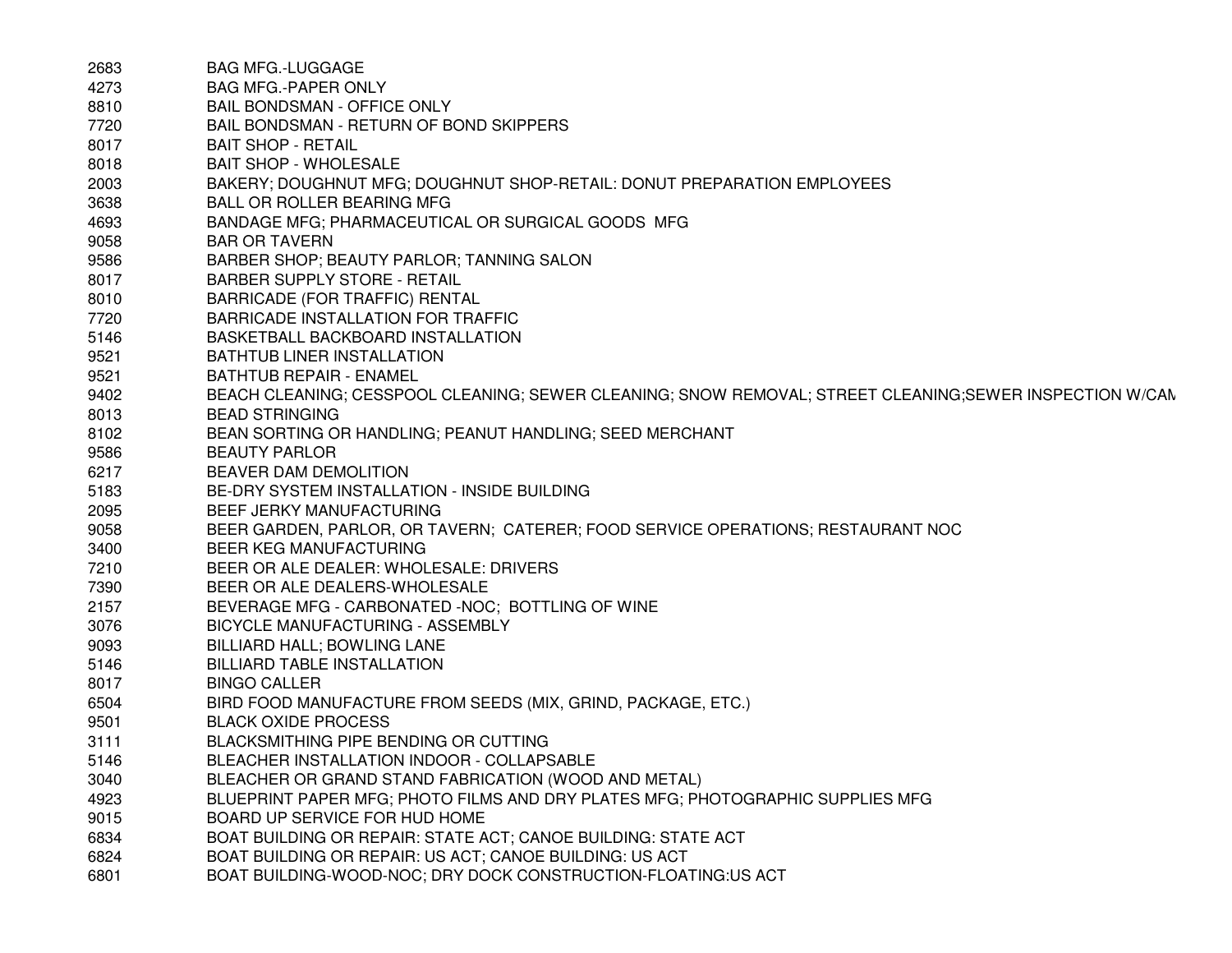| 2683 | <b>BAG MFG.-LUGGAGE</b>                                                                                  |
|------|----------------------------------------------------------------------------------------------------------|
| 4273 | <b>BAG MFG.-PAPER ONLY</b>                                                                               |
| 8810 | <b>BAIL BONDSMAN - OFFICE ONLY</b>                                                                       |
| 7720 | BAIL BONDSMAN - RETURN OF BOND SKIPPERS                                                                  |
| 8017 | <b>BAIT SHOP - RETAIL</b>                                                                                |
| 8018 | <b>BAIT SHOP - WHOLESALE</b>                                                                             |
| 2003 | BAKERY; DOUGHNUT MFG; DOUGHNUT SHOP-RETAIL: DONUT PREPARATION EMPLOYEES                                  |
| 3638 | <b>BALL OR ROLLER BEARING MFG</b>                                                                        |
| 4693 | BANDAGE MFG; PHARMACEUTICAL OR SURGICAL GOODS MFG                                                        |
| 9058 | <b>BAR OR TAVERN</b>                                                                                     |
| 9586 | BARBER SHOP; BEAUTY PARLOR; TANNING SALON                                                                |
| 8017 | <b>BARBER SUPPLY STORE - RETAIL</b>                                                                      |
| 8010 | BARRICADE (FOR TRAFFIC) RENTAL                                                                           |
| 7720 | <b>BARRICADE INSTALLATION FOR TRAFFIC</b>                                                                |
| 5146 | BASKETBALL BACKBOARD INSTALLATION                                                                        |
| 9521 | BATHTUB LINER INSTALLATION                                                                               |
| 9521 | <b>BATHTUB REPAIR - ENAMEL</b>                                                                           |
| 9402 | BEACH CLEANING; CESSPOOL CLEANING; SEWER CLEANING; SNOW REMOVAL; STREET CLEANING; SEWER INSPECTION W/CAN |
| 8013 | <b>BEAD STRINGING</b>                                                                                    |
| 8102 | BEAN SORTING OR HANDLING; PEANUT HANDLING; SEED MERCHANT                                                 |
| 9586 | <b>BEAUTY PARLOR</b>                                                                                     |
| 6217 | BEAVER DAM DEMOLITION                                                                                    |
| 5183 | BE-DRY SYSTEM INSTALLATION - INSIDE BUILDING                                                             |
| 2095 | BEEF JERKY MANUFACTURING                                                                                 |
| 9058 | BEER GARDEN, PARLOR, OR TAVERN; CATERER; FOOD SERVICE OPERATIONS; RESTAURANT NOC                         |
| 3400 | BEER KEG MANUFACTURING                                                                                   |
| 7210 | BEER OR ALE DEALER: WHOLESALE: DRIVERS                                                                   |
| 7390 | BEER OR ALE DEALERS-WHOLESALE                                                                            |
| 2157 | BEVERAGE MFG - CARBONATED -NOC; BOTTLING OF WINE                                                         |
| 3076 | BICYCLE MANUFACTURING - ASSEMBLY                                                                         |
| 9093 | BILLIARD HALL; BOWLING LANE                                                                              |
| 5146 | <b>BILLIARD TABLE INSTALLATION</b>                                                                       |
| 8017 | <b>BINGO CALLER</b>                                                                                      |
| 6504 | BIRD FOOD MANUFACTURE FROM SEEDS (MIX, GRIND, PACKAGE, ETC.)                                             |
| 9501 | <b>BLACK OXIDE PROCESS</b>                                                                               |
| 3111 | BLACKSMITHING PIPE BENDING OR CUTTING                                                                    |
| 5146 | BLEACHER INSTALLATION INDOOR - COLLAPSABLE                                                               |
| 3040 | BLEACHER OR GRAND STAND FABRICATION (WOOD AND METAL)                                                     |
| 4923 | BLUEPRINT PAPER MFG; PHOTO FILMS AND DRY PLATES MFG; PHOTOGRAPHIC SUPPLIES MFG                           |
| 9015 | BOARD UP SERVICE FOR HUD HOME                                                                            |
| 6834 | BOAT BUILDING OR REPAIR: STATE ACT; CANOE BUILDING: STATE ACT                                            |
| 6824 | BOAT BUILDING OR REPAIR: US ACT; CANOE BUILDING: US ACT                                                  |
| 6801 | BOAT BUILDING-WOOD-NOC; DRY DOCK CONSTRUCTION-FLOATING:US ACT                                            |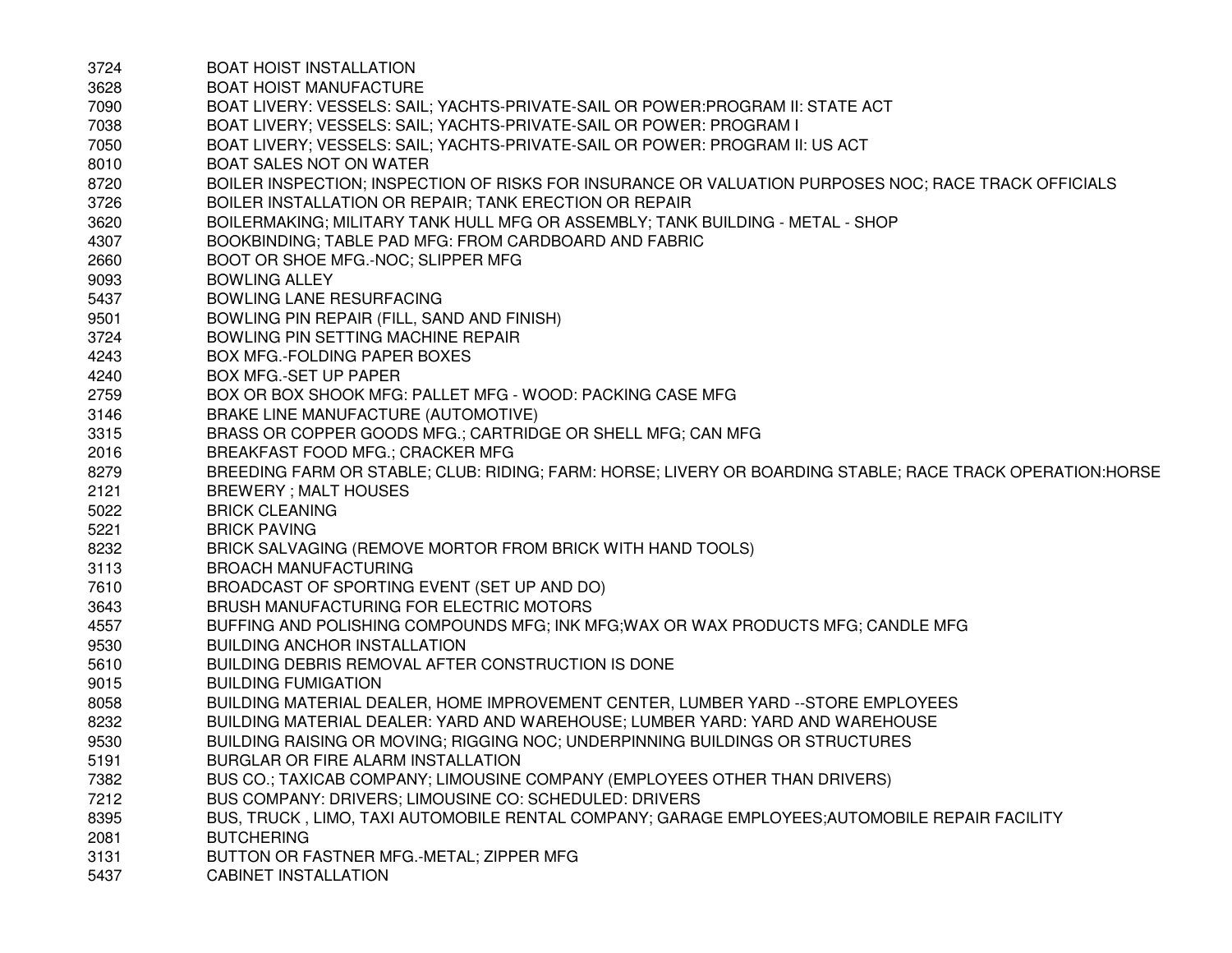| 3724 | <b>BOAT HOIST INSTALLATION</b>                                                                             |
|------|------------------------------------------------------------------------------------------------------------|
| 3628 | <b>BOAT HOIST MANUFACTURE</b>                                                                              |
| 7090 | BOAT LIVERY: VESSELS: SAIL; YACHTS-PRIVATE-SAIL OR POWER: PROGRAM II: STATE ACT                            |
| 7038 | BOAT LIVERY; VESSELS: SAIL; YACHTS-PRIVATE-SAIL OR POWER: PROGRAM I                                        |
| 7050 | BOAT LIVERY; VESSELS: SAIL; YACHTS-PRIVATE-SAIL OR POWER: PROGRAM II: US ACT                               |
| 8010 | <b>BOAT SALES NOT ON WATER</b>                                                                             |
| 8720 | BOILER INSPECTION; INSPECTION OF RISKS FOR INSURANCE OR VALUATION PURPOSES NOC; RACE TRACK OFFICIALS       |
| 3726 | BOILER INSTALLATION OR REPAIR; TANK ERECTION OR REPAIR                                                     |
| 3620 | BOILERMAKING; MILITARY TANK HULL MFG OR ASSEMBLY; TANK BUILDING - METAL - SHOP                             |
| 4307 | BOOKBINDING; TABLE PAD MFG: FROM CARDBOARD AND FABRIC                                                      |
| 2660 | BOOT OR SHOE MFG.-NOC; SLIPPER MFG                                                                         |
| 9093 | <b>BOWLING ALLEY</b>                                                                                       |
| 5437 | BOWLING LANE RESURFACING                                                                                   |
| 9501 | BOWLING PIN REPAIR (FILL, SAND AND FINISH)                                                                 |
| 3724 | BOWLING PIN SETTING MACHINE REPAIR                                                                         |
| 4243 | BOX MFG.-FOLDING PAPER BOXES                                                                               |
| 4240 | <b>BOX MFG.-SET UP PAPER</b>                                                                               |
| 2759 | BOX OR BOX SHOOK MFG: PALLET MFG - WOOD: PACKING CASE MFG                                                  |
| 3146 | BRAKE LINE MANUFACTURE (AUTOMOTIVE)                                                                        |
| 3315 | BRASS OR COPPER GOODS MFG.; CARTRIDGE OR SHELL MFG; CAN MFG                                                |
| 2016 | <b>BREAKFAST FOOD MFG.; CRACKER MFG</b>                                                                    |
| 8279 | BREEDING FARM OR STABLE; CLUB: RIDING; FARM: HORSE; LIVERY OR BOARDING STABLE; RACE TRACK OPERATION: HORSE |
| 2121 | <b>BREWERY; MALT HOUSES</b>                                                                                |
| 5022 | <b>BRICK CLEANING</b>                                                                                      |
| 5221 | <b>BRICK PAVING</b>                                                                                        |
| 8232 | BRICK SALVAGING (REMOVE MORTOR FROM BRICK WITH HAND TOOLS)                                                 |
| 3113 | <b>BROACH MANUFACTURING</b>                                                                                |
| 7610 | BROADCAST OF SPORTING EVENT (SET UP AND DO)                                                                |
| 3643 | BRUSH MANUFACTURING FOR ELECTRIC MOTORS                                                                    |
| 4557 | BUFFING AND POLISHING COMPOUNDS MFG; INK MFG; WAX OR WAX PRODUCTS MFG; CANDLE MFG                          |
| 9530 | <b>BUILDING ANCHOR INSTALLATION</b>                                                                        |
| 5610 | BUILDING DEBRIS REMOVAL AFTER CONSTRUCTION IS DONE                                                         |
| 9015 | <b>BUILDING FUMIGATION</b>                                                                                 |
| 8058 | BUILDING MATERIAL DEALER, HOME IMPROVEMENT CENTER, LUMBER YARD -- STORE EMPLOYEES                          |
| 8232 | BUILDING MATERIAL DEALER: YARD AND WAREHOUSE; LUMBER YARD: YARD AND WAREHOUSE                              |
| 9530 | BUILDING RAISING OR MOVING; RIGGING NOC; UNDERPINNING BUILDINGS OR STRUCTURES                              |
| 5191 | BURGLAR OR FIRE ALARM INSTALLATION                                                                         |
| 7382 | BUS CO.; TAXICAB COMPANY; LIMOUSINE COMPANY (EMPLOYEES OTHER THAN DRIVERS)                                 |
| 7212 | BUS COMPANY: DRIVERS; LIMOUSINE CO: SCHEDULED: DRIVERS                                                     |
| 8395 | BUS, TRUCK, LIMO, TAXI AUTOMOBILE RENTAL COMPANY; GARAGE EMPLOYEES; AUTOMOBILE REPAIR FACILITY             |
| 2081 | <b>BUTCHERING</b>                                                                                          |
| 3131 | BUTTON OR FASTNER MFG.-METAL; ZIPPER MFG                                                                   |
| 5437 | <b>CABINET INSTALLATION</b>                                                                                |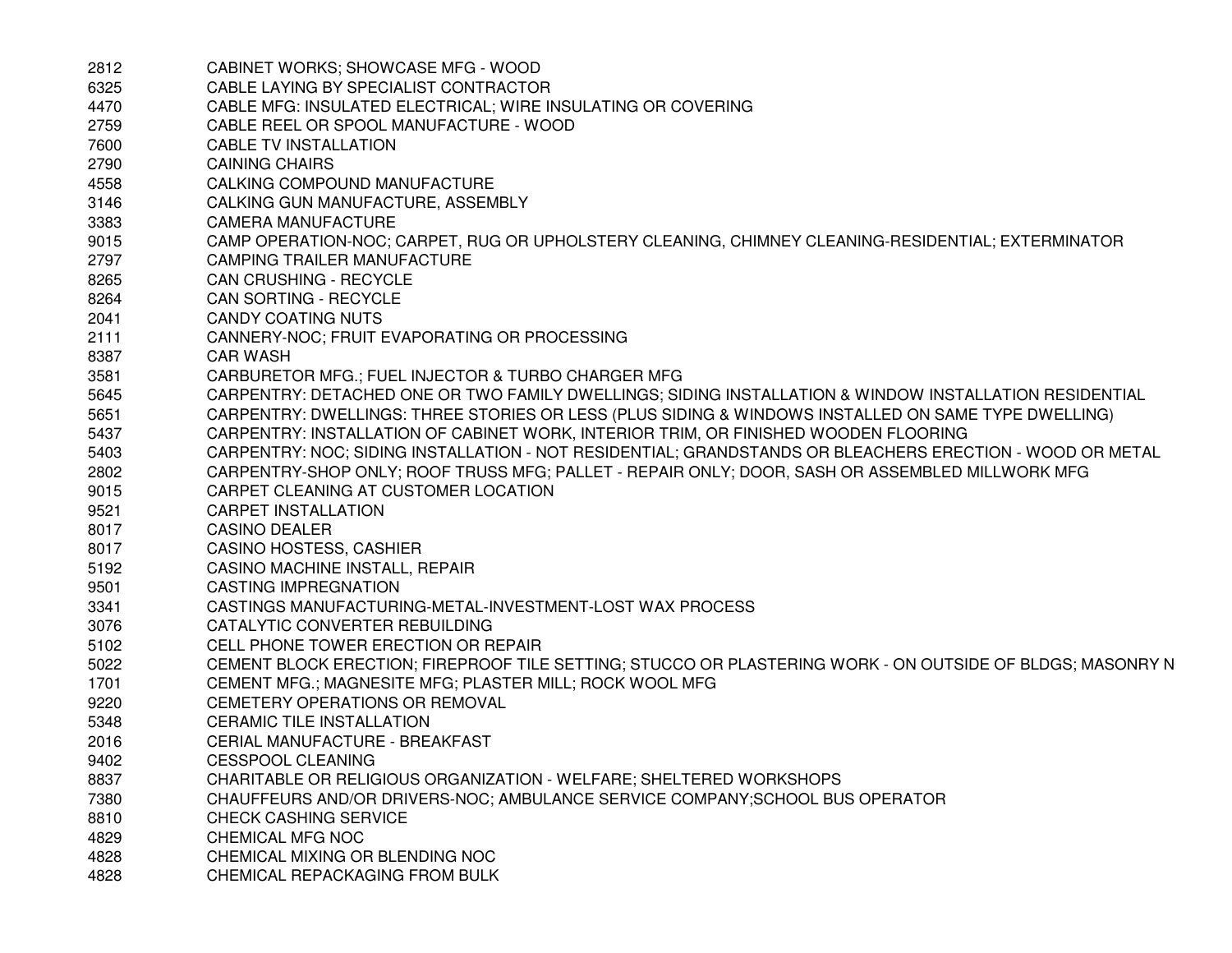| 2812 | CABINET WORKS; SHOWCASE MFG - WOOD                                                                        |
|------|-----------------------------------------------------------------------------------------------------------|
| 6325 | CABLE LAYING BY SPECIALIST CONTRACTOR                                                                     |
| 4470 | CABLE MFG: INSULATED ELECTRICAL; WIRE INSULATING OR COVERING                                              |
| 2759 | CABLE REEL OR SPOOL MANUFACTURE - WOOD                                                                    |
| 7600 | CABLE TV INSTALLATION                                                                                     |
| 2790 | <b>CAINING CHAIRS</b>                                                                                     |
| 4558 | CALKING COMPOUND MANUFACTURE                                                                              |
| 3146 | CALKING GUN MANUFACTURE, ASSEMBLY                                                                         |
| 3383 | <b>CAMERA MANUFACTURE</b>                                                                                 |
| 9015 | CAMP OPERATION-NOC; CARPET, RUG OR UPHOLSTERY CLEANING, CHIMNEY CLEANING-RESIDENTIAL; EXTERMINATOR        |
| 2797 | CAMPING TRAILER MANUFACTURE                                                                               |
| 8265 | CAN CRUSHING - RECYCLE                                                                                    |
| 8264 | <b>CAN SORTING - RECYCLE</b>                                                                              |
| 2041 | <b>CANDY COATING NUTS</b>                                                                                 |
| 2111 | CANNERY-NOC; FRUIT EVAPORATING OR PROCESSING                                                              |
| 8387 | <b>CAR WASH</b>                                                                                           |
| 3581 | CARBURETOR MFG.; FUEL INJECTOR & TURBO CHARGER MFG                                                        |
| 5645 | CARPENTRY: DETACHED ONE OR TWO FAMILY DWELLINGS; SIDING INSTALLATION & WINDOW INSTALLATION RESIDENTIAL    |
| 5651 | CARPENTRY: DWELLINGS: THREE STORIES OR LESS (PLUS SIDING & WINDOWS INSTALLED ON SAME TYPE DWELLING)       |
| 5437 | CARPENTRY: INSTALLATION OF CABINET WORK, INTERIOR TRIM, OR FINISHED WOODEN FLOORING                       |
| 5403 | CARPENTRY: NOC; SIDING INSTALLATION - NOT RESIDENTIAL; GRANDSTANDS OR BLEACHERS ERECTION - WOOD OR METAL  |
| 2802 | CARPENTRY-SHOP ONLY; ROOF TRUSS MFG; PALLET - REPAIR ONLY; DOOR, SASH OR ASSEMBLED MILLWORK MFG           |
| 9015 | CARPET CLEANING AT CUSTOMER LOCATION                                                                      |
| 9521 | <b>CARPET INSTALLATION</b>                                                                                |
| 8017 | <b>CASINO DEALER</b>                                                                                      |
| 8017 | CASINO HOSTESS, CASHIER                                                                                   |
| 5192 | CASINO MACHINE INSTALL, REPAIR                                                                            |
| 9501 | <b>CASTING IMPREGNATION</b>                                                                               |
| 3341 | CASTINGS MANUFACTURING-METAL-INVESTMENT-LOST WAX PROCESS                                                  |
| 3076 | CATALYTIC CONVERTER REBUILDING                                                                            |
| 5102 | CELL PHONE TOWER ERECTION OR REPAIR                                                                       |
| 5022 | CEMENT BLOCK ERECTION; FIREPROOF TILE SETTING; STUCCO OR PLASTERING WORK - ON OUTSIDE OF BLDGS; MASONRY N |
| 1701 | CEMENT MFG.; MAGNESITE MFG; PLASTER MILL; ROCK WOOL MFG                                                   |
| 9220 | CEMETERY OPERATIONS OR REMOVAL                                                                            |
| 5348 | <b>CERAMIC TILE INSTALLATION</b>                                                                          |
| 2016 | <b>CERIAL MANUFACTURE - BREAKFAST</b>                                                                     |
| 9402 | <b>CESSPOOL CLEANING</b>                                                                                  |
| 8837 | CHARITABLE OR RELIGIOUS ORGANIZATION - WELFARE; SHELTERED WORKSHOPS                                       |
| 7380 | CHAUFFEURS AND/OR DRIVERS-NOC; AMBULANCE SERVICE COMPANY: SCHOOL BUS OPERATOR                             |
| 8810 | <b>CHECK CASHING SERVICE</b>                                                                              |
| 4829 | CHEMICAL MFG NOC                                                                                          |
| 4828 | CHEMICAL MIXING OR BLENDING NOC                                                                           |
| 4828 | CHEMICAL REPACKAGING FROM BULK                                                                            |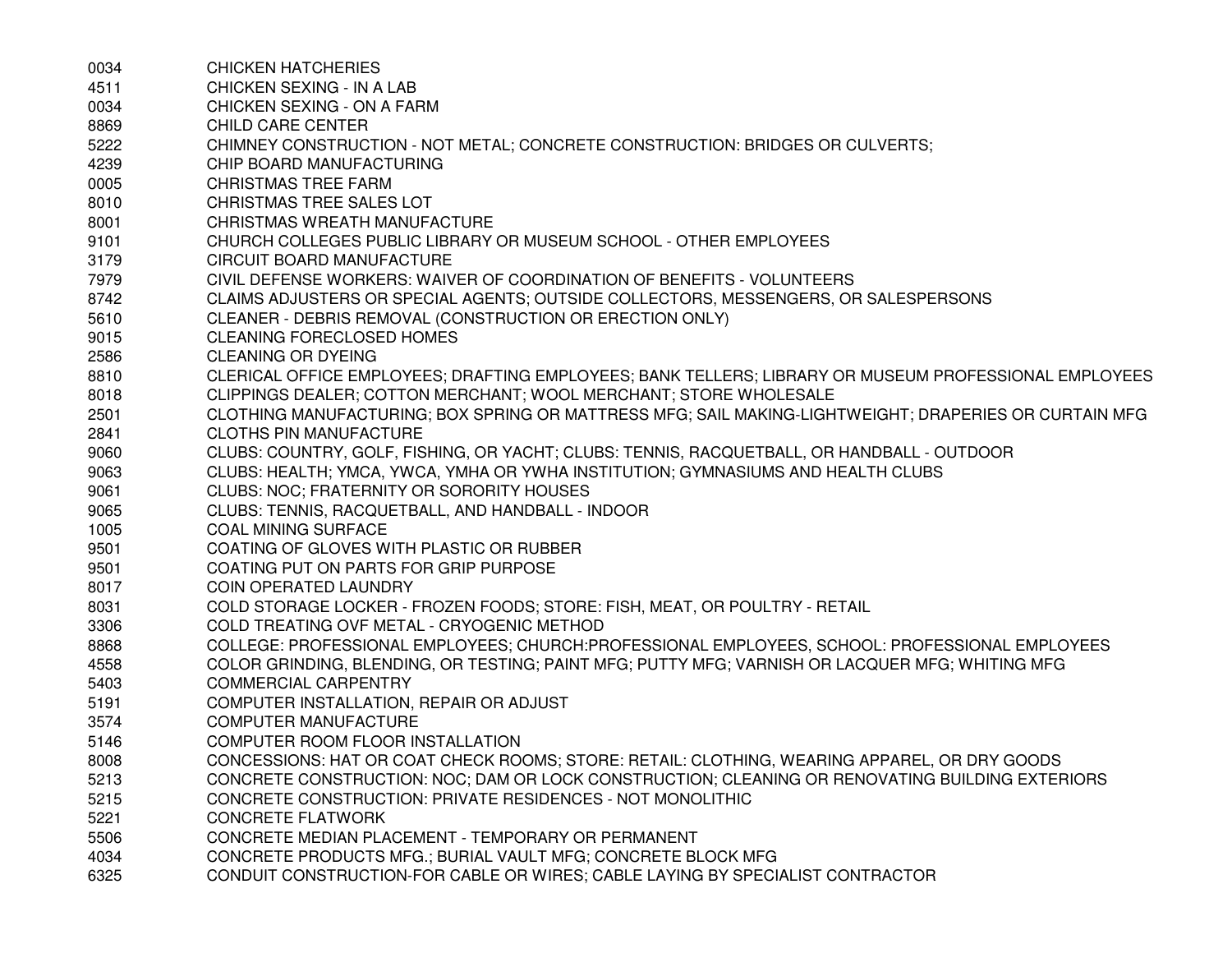| 0034 | <b>CHICKEN HATCHERIES</b>                                                                             |
|------|-------------------------------------------------------------------------------------------------------|
| 4511 | CHICKEN SEXING - IN A LAB                                                                             |
| 0034 | CHICKEN SEXING - ON A FARM                                                                            |
| 8869 | <b>CHILD CARE CENTER</b>                                                                              |
| 5222 | CHIMNEY CONSTRUCTION - NOT METAL; CONCRETE CONSTRUCTION: BRIDGES OR CULVERTS;                         |
| 4239 | CHIP BOARD MANUFACTURING                                                                              |
| 0005 | <b>CHRISTMAS TREE FARM</b>                                                                            |
| 8010 | CHRISTMAS TREE SALES LOT                                                                              |
| 8001 | CHRISTMAS WREATH MANUFACTURE                                                                          |
| 9101 | CHURCH COLLEGES PUBLIC LIBRARY OR MUSEUM SCHOOL - OTHER EMPLOYEES                                     |
| 3179 | CIRCUIT BOARD MANUFACTURE                                                                             |
| 7979 | CIVIL DEFENSE WORKERS: WAIVER OF COORDINATION OF BENEFITS - VOLUNTEERS                                |
| 8742 | CLAIMS ADJUSTERS OR SPECIAL AGENTS; OUTSIDE COLLECTORS, MESSENGERS, OR SALESPERSONS                   |
| 5610 | CLEANER - DEBRIS REMOVAL (CONSTRUCTION OR ERECTION ONLY)                                              |
| 9015 | <b>CLEANING FORECLOSED HOMES</b>                                                                      |
| 2586 | <b>CLEANING OR DYEING</b>                                                                             |
| 8810 | CLERICAL OFFICE EMPLOYEES; DRAFTING EMPLOYEES; BANK TELLERS; LIBRARY OR MUSEUM PROFESSIONAL EMPLOYEES |
| 8018 | CLIPPINGS DEALER; COTTON MERCHANT; WOOL MERCHANT; STORE WHOLESALE                                     |
| 2501 | CLOTHING MANUFACTURING; BOX SPRING OR MATTRESS MFG; SAIL MAKING-LIGHTWEIGHT; DRAPERIES OR CURTAIN MFG |
| 2841 | <b>CLOTHS PIN MANUFACTURE</b>                                                                         |
| 9060 | CLUBS: COUNTRY, GOLF, FISHING, OR YACHT; CLUBS: TENNIS, RACQUETBALL, OR HANDBALL - OUTDOOR            |
| 9063 | CLUBS: HEALTH; YMCA, YWCA, YMHA OR YWHA INSTITUTION; GYMNASIUMS AND HEALTH CLUBS                      |
| 9061 | CLUBS: NOC; FRATERNITY OR SORORITY HOUSES                                                             |
| 9065 | CLUBS: TENNIS, RACQUETBALL, AND HANDBALL - INDOOR                                                     |
| 1005 | <b>COAL MINING SURFACE</b>                                                                            |
| 9501 | COATING OF GLOVES WITH PLASTIC OR RUBBER                                                              |
| 9501 | COATING PUT ON PARTS FOR GRIP PURPOSE                                                                 |
| 8017 | <b>COIN OPERATED LAUNDRY</b>                                                                          |
| 8031 | COLD STORAGE LOCKER - FROZEN FOODS; STORE: FISH, MEAT, OR POULTRY - RETAIL                            |
| 3306 | COLD TREATING OVF METAL - CRYOGENIC METHOD                                                            |
| 8868 | COLLEGE: PROFESSIONAL EMPLOYEES; CHURCH:PROFESSIONAL EMPLOYEES, SCHOOL: PROFESSIONAL EMPLOYEES        |
| 4558 | COLOR GRINDING, BLENDING, OR TESTING; PAINT MFG; PUTTY MFG; VARNISH OR LACQUER MFG; WHITING MFG       |
| 5403 | <b>COMMERCIAL CARPENTRY</b>                                                                           |
| 5191 | COMPUTER INSTALLATION, REPAIR OR ADJUST                                                               |
| 3574 | <b>COMPUTER MANUFACTURE</b>                                                                           |
| 5146 | COMPUTER ROOM FLOOR INSTALLATION                                                                      |
| 8008 | CONCESSIONS: HAT OR COAT CHECK ROOMS; STORE: RETAIL: CLOTHING, WEARING APPAREL, OR DRY GOODS          |
| 5213 | CONCRETE CONSTRUCTION: NOC; DAM OR LOCK CONSTRUCTION; CLEANING OR RENOVATING BUILDING EXTERIORS       |
| 5215 | CONCRETE CONSTRUCTION: PRIVATE RESIDENCES - NOT MONOLITHIC                                            |
| 5221 | <b>CONCRETE FLATWORK</b>                                                                              |
| 5506 | CONCRETE MEDIAN PLACEMENT - TEMPORARY OR PERMANENT                                                    |
| 4034 | CONCRETE PRODUCTS MFG.; BURIAL VAULT MFG; CONCRETE BLOCK MFG                                          |
| 6325 | CONDUIT CONSTRUCTION-FOR CABLE OR WIRES; CABLE LAYING BY SPECIALIST CONTRACTOR                        |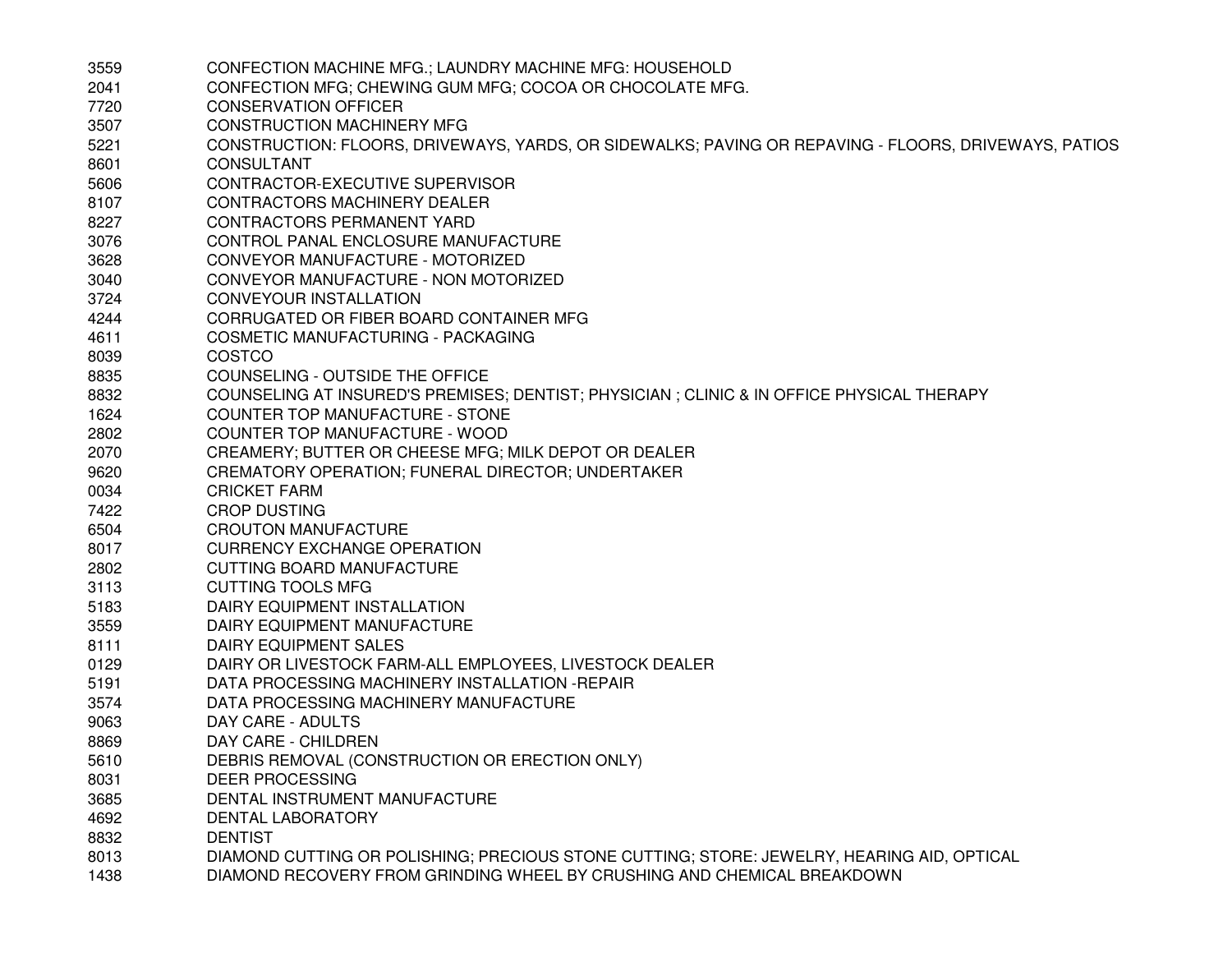| 3559 | CONFECTION MACHINE MFG.; LAUNDRY MACHINE MFG: HOUSEHOLD                                              |
|------|------------------------------------------------------------------------------------------------------|
| 2041 | CONFECTION MFG; CHEWING GUM MFG; COCOA OR CHOCOLATE MFG.                                             |
| 7720 | <b>CONSERVATION OFFICER</b>                                                                          |
| 3507 | <b>CONSTRUCTION MACHINERY MFG</b>                                                                    |
| 5221 | CONSTRUCTION: FLOORS, DRIVEWAYS, YARDS, OR SIDEWALKS; PAVING OR REPAVING - FLOORS, DRIVEWAYS, PATIOS |
| 8601 | <b>CONSULTANT</b>                                                                                    |
| 5606 | CONTRACTOR-EXECUTIVE SUPERVISOR                                                                      |
| 8107 | CONTRACTORS MACHINERY DEALER                                                                         |
| 8227 | CONTRACTORS PERMANENT YARD                                                                           |
| 3076 | CONTROL PANAL ENCLOSURE MANUFACTURE                                                                  |
| 3628 | CONVEYOR MANUFACTURE - MOTORIZED                                                                     |
| 3040 | CONVEYOR MANUFACTURE - NON MOTORIZED                                                                 |
| 3724 | <b>CONVEYOUR INSTALLATION</b>                                                                        |
| 4244 | CORRUGATED OR FIBER BOARD CONTAINER MFG                                                              |
| 4611 | COSMETIC MANUFACTURING - PACKAGING                                                                   |
| 8039 | COSTCO                                                                                               |
| 8835 | COUNSELING - OUTSIDE THE OFFICE                                                                      |
| 8832 | COUNSELING AT INSURED'S PREMISES; DENTIST; PHYSICIAN ; CLINIC & IN OFFICE PHYSICAL THERAPY           |
| 1624 | COUNTER TOP MANUFACTURE - STONE                                                                      |
| 2802 | COUNTER TOP MANUFACTURE - WOOD                                                                       |
| 2070 | CREAMERY; BUTTER OR CHEESE MFG; MILK DEPOT OR DEALER                                                 |
| 9620 | CREMATORY OPERATION; FUNERAL DIRECTOR; UNDERTAKER                                                    |
| 0034 | <b>CRICKET FARM</b>                                                                                  |
| 7422 | <b>CROP DUSTING</b>                                                                                  |
| 6504 | <b>CROUTON MANUFACTURE</b>                                                                           |
| 8017 | <b>CURRENCY EXCHANGE OPERATION</b>                                                                   |
| 2802 | CUTTING BOARD MANUFACTURE                                                                            |
| 3113 | <b>CUTTING TOOLS MFG</b>                                                                             |
| 5183 | DAIRY EQUIPMENT INSTALLATION                                                                         |
| 3559 | DAIRY EQUIPMENT MANUFACTURE                                                                          |
| 8111 | DAIRY EQUIPMENT SALES                                                                                |
| 0129 | DAIRY OR LIVESTOCK FARM-ALL EMPLOYEES, LIVESTOCK DEALER                                              |
| 5191 | DATA PROCESSING MACHINERY INSTALLATION - REPAIR                                                      |
| 3574 | DATA PROCESSING MACHINERY MANUFACTURE                                                                |
| 9063 | DAY CARE - ADULTS                                                                                    |
| 8869 | DAY CARE - CHILDREN                                                                                  |
| 5610 | DEBRIS REMOVAL (CONSTRUCTION OR ERECTION ONLY)                                                       |
| 8031 | <b>DEER PROCESSING</b>                                                                               |
| 3685 | DENTAL INSTRUMENT MANUFACTURE                                                                        |
| 4692 | DENTAL LABORATORY                                                                                    |
| 8832 | <b>DENTIST</b>                                                                                       |
| 8013 | DIAMOND CUTTING OR POLISHING; PRECIOUS STONE CUTTING; STORE: JEWELRY, HEARING AID, OPTICAL           |
| 1438 | DIAMOND RECOVERY FROM GRINDING WHEEL BY CRUSHING AND CHEMICAL BREAKDOWN                              |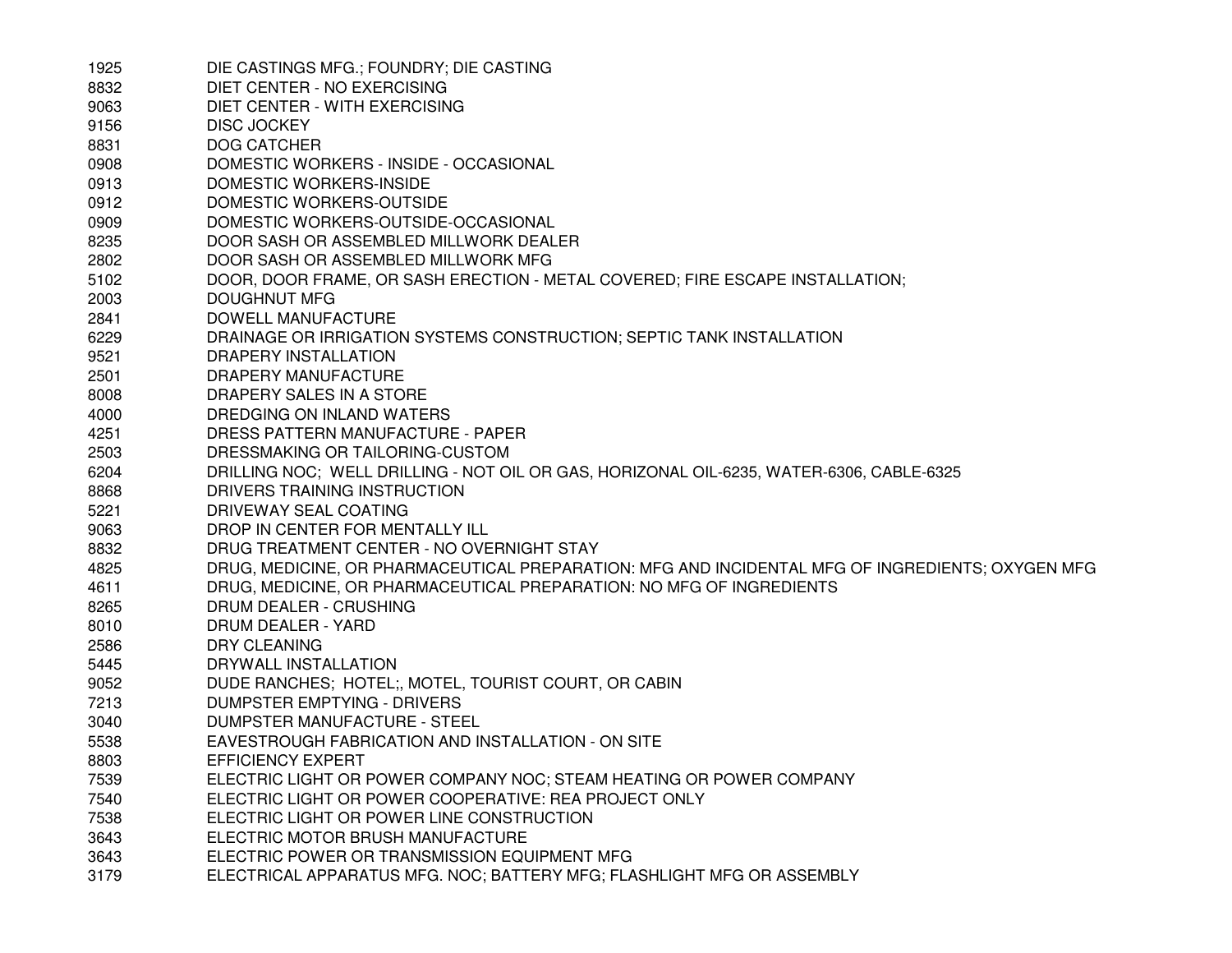| 1925 | DIE CASTINGS MFG.; FOUNDRY; DIE CASTING                                                          |
|------|--------------------------------------------------------------------------------------------------|
| 8832 | DIET CENTER - NO EXERCISING                                                                      |
| 9063 | DIET CENTER - WITH EXERCISING                                                                    |
| 9156 | <b>DISC JOCKEY</b>                                                                               |
| 8831 | <b>DOG CATCHER</b>                                                                               |
| 0908 | DOMESTIC WORKERS - INSIDE - OCCASIONAL                                                           |
| 0913 | DOMESTIC WORKERS-INSIDE                                                                          |
| 0912 | DOMESTIC WORKERS-OUTSIDE                                                                         |
| 0909 | DOMESTIC WORKERS-OUTSIDE-OCCASIONAL                                                              |
| 8235 | DOOR SASH OR ASSEMBLED MILLWORK DEALER                                                           |
| 2802 | DOOR SASH OR ASSEMBLED MILLWORK MFG                                                              |
| 5102 | DOOR, DOOR FRAME, OR SASH ERECTION - METAL COVERED; FIRE ESCAPE INSTALLATION;                    |
| 2003 | DOUGHNUT MFG                                                                                     |
| 2841 | DOWELL MANUFACTURE                                                                               |
| 6229 | DRAINAGE OR IRRIGATION SYSTEMS CONSTRUCTION; SEPTIC TANK INSTALLATION                            |
| 9521 | DRAPERY INSTALLATION                                                                             |
| 2501 | DRAPERY MANUFACTURE                                                                              |
| 8008 | DRAPERY SALES IN A STORE                                                                         |
| 4000 | DREDGING ON INLAND WATERS                                                                        |
| 4251 | DRESS PATTERN MANUFACTURE - PAPER                                                                |
| 2503 | DRESSMAKING OR TAILORING-CUSTOM                                                                  |
| 6204 | DRILLING NOC; WELL DRILLING - NOT OIL OR GAS, HORIZONAL OIL-6235, WATER-6306, CABLE-6325         |
| 8868 | DRIVERS TRAINING INSTRUCTION                                                                     |
| 5221 | DRIVEWAY SEAL COATING                                                                            |
| 9063 | DROP IN CENTER FOR MENTALLY ILL                                                                  |
| 8832 | DRUG TREATMENT CENTER - NO OVERNIGHT STAY                                                        |
| 4825 | DRUG, MEDICINE, OR PHARMACEUTICAL PREPARATION: MFG AND INCIDENTAL MFG OF INGREDIENTS; OXYGEN MFG |
| 4611 | DRUG, MEDICINE, OR PHARMACEUTICAL PREPARATION: NO MFG OF INGREDIENTS                             |
| 8265 | DRUM DEALER - CRUSHING                                                                           |
| 8010 | DRUM DEALER - YARD                                                                               |
| 2586 | DRY CLEANING                                                                                     |
| 5445 | DRYWALL INSTALLATION                                                                             |
| 9052 | DUDE RANCHES; HOTEL; MOTEL, TOURIST COURT, OR CABIN                                              |
| 7213 | DUMPSTER EMPTYING - DRIVERS                                                                      |
| 3040 | DUMPSTER MANUFACTURE - STEEL                                                                     |
| 5538 | EAVESTROUGH FABRICATION AND INSTALLATION - ON SITE                                               |
| 8803 | <b>EFFICIENCY EXPERT</b>                                                                         |
| 7539 | ELECTRIC LIGHT OR POWER COMPANY NOC; STEAM HEATING OR POWER COMPANY                              |
| 7540 | ELECTRIC LIGHT OR POWER COOPERATIVE: REA PROJECT ONLY                                            |
| 7538 | ELECTRIC LIGHT OR POWER LINE CONSTRUCTION                                                        |
| 3643 | ELECTRIC MOTOR BRUSH MANUFACTURE                                                                 |
| 3643 | ELECTRIC POWER OR TRANSMISSION EQUIPMENT MFG                                                     |
| 3179 | ELECTRICAL APPARATUS MFG. NOC; BATTERY MFG; FLASHLIGHT MFG OR ASSEMBLY                           |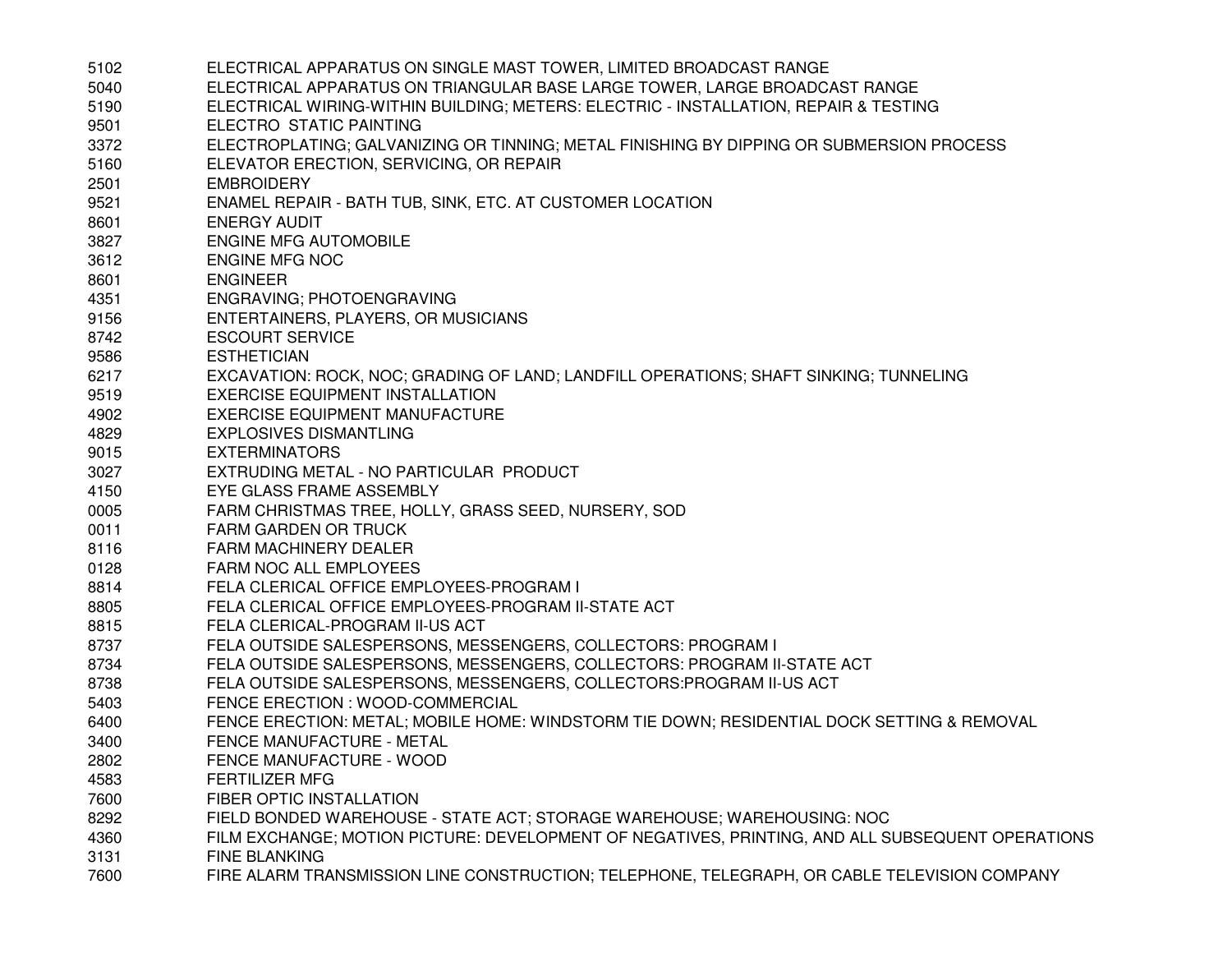| 5102 | ELECTRICAL APPARATUS ON SINGLE MAST TOWER, LIMITED BROADCAST RANGE                               |
|------|--------------------------------------------------------------------------------------------------|
| 5040 | ELECTRICAL APPARATUS ON TRIANGULAR BASE LARGE TOWER, LARGE BROADCAST RANGE                       |
| 5190 | ELECTRICAL WIRING-WITHIN BUILDING; METERS: ELECTRIC - INSTALLATION, REPAIR & TESTING             |
| 9501 | ELECTRO STATIC PAINTING                                                                          |
| 3372 | ELECTROPLATING; GALVANIZING OR TINNING; METAL FINISHING BY DIPPING OR SUBMERSION PROCESS         |
| 5160 | ELEVATOR ERECTION, SERVICING, OR REPAIR                                                          |
| 2501 | <b>EMBROIDERY</b>                                                                                |
| 9521 | ENAMEL REPAIR - BATH TUB, SINK, ETC. AT CUSTOMER LOCATION                                        |
| 8601 | <b>ENERGY AUDIT</b>                                                                              |
| 3827 | <b>ENGINE MFG AUTOMOBILE</b>                                                                     |
| 3612 | <b>ENGINE MFG NOC</b>                                                                            |
| 8601 | <b>ENGINEER</b>                                                                                  |
| 4351 | ENGRAVING; PHOTOENGRAVING                                                                        |
| 9156 | ENTERTAINERS, PLAYERS, OR MUSICIANS                                                              |
| 8742 | <b>ESCOURT SERVICE</b>                                                                           |
| 9586 | <b>ESTHETICIAN</b>                                                                               |
| 6217 | EXCAVATION: ROCK, NOC; GRADING OF LAND; LANDFILL OPERATIONS; SHAFT SINKING; TUNNELING            |
| 9519 | EXERCISE EQUIPMENT INSTALLATION                                                                  |
| 4902 | <b>EXERCISE EQUIPMENT MANUFACTURE</b>                                                            |
| 4829 | <b>EXPLOSIVES DISMANTLING</b>                                                                    |
| 9015 | <b>EXTERMINATORS</b>                                                                             |
| 3027 | EXTRUDING METAL - NO PARTICULAR PRODUCT                                                          |
| 4150 | EYE GLASS FRAME ASSEMBLY                                                                         |
| 0005 | FARM CHRISTMAS TREE, HOLLY, GRASS SEED, NURSERY, SOD                                             |
| 0011 | <b>FARM GARDEN OR TRUCK</b>                                                                      |
| 8116 | <b>FARM MACHINERY DEALER</b>                                                                     |
| 0128 | FARM NOC ALL EMPLOYEES                                                                           |
| 8814 | FELA CLERICAL OFFICE EMPLOYEES-PROGRAM I                                                         |
| 8805 | FELA CLERICAL OFFICE EMPLOYEES-PROGRAM II-STATE ACT                                              |
| 8815 | FELA CLERICAL-PROGRAM II-US ACT                                                                  |
| 8737 | FELA OUTSIDE SALESPERSONS, MESSENGERS, COLLECTORS: PROGRAM I                                     |
| 8734 | FELA OUTSIDE SALESPERSONS, MESSENGERS, COLLECTORS: PROGRAM II-STATE ACT                          |
| 8738 | FELA OUTSIDE SALESPERSONS, MESSENGERS, COLLECTORS: PROGRAM II-US ACT                             |
| 5403 | FENCE ERECTION : WOOD-COMMERCIAL                                                                 |
| 6400 | FENCE ERECTION: METAL; MOBILE HOME: WINDSTORM TIE DOWN; RESIDENTIAL DOCK SETTING & REMOVAL       |
| 3400 | FENCE MANUFACTURE - METAL                                                                        |
| 2802 | FENCE MANUFACTURE - WOOD                                                                         |
| 4583 | <b>FERTILIZER MFG</b>                                                                            |
| 7600 | FIBER OPTIC INSTALLATION                                                                         |
| 8292 | FIELD BONDED WAREHOUSE - STATE ACT; STORAGE WAREHOUSE; WAREHOUSING: NOC                          |
| 4360 | FILM EXCHANGE; MOTION PICTURE: DEVELOPMENT OF NEGATIVES, PRINTING, AND ALL SUBSEQUENT OPERATIONS |
| 3131 | <b>FINE BLANKING</b>                                                                             |
| 7600 | FIRE ALARM TRANSMISSION LINE CONSTRUCTION; TELEPHONE, TELEGRAPH, OR CABLE TELEVISION COMPANY     |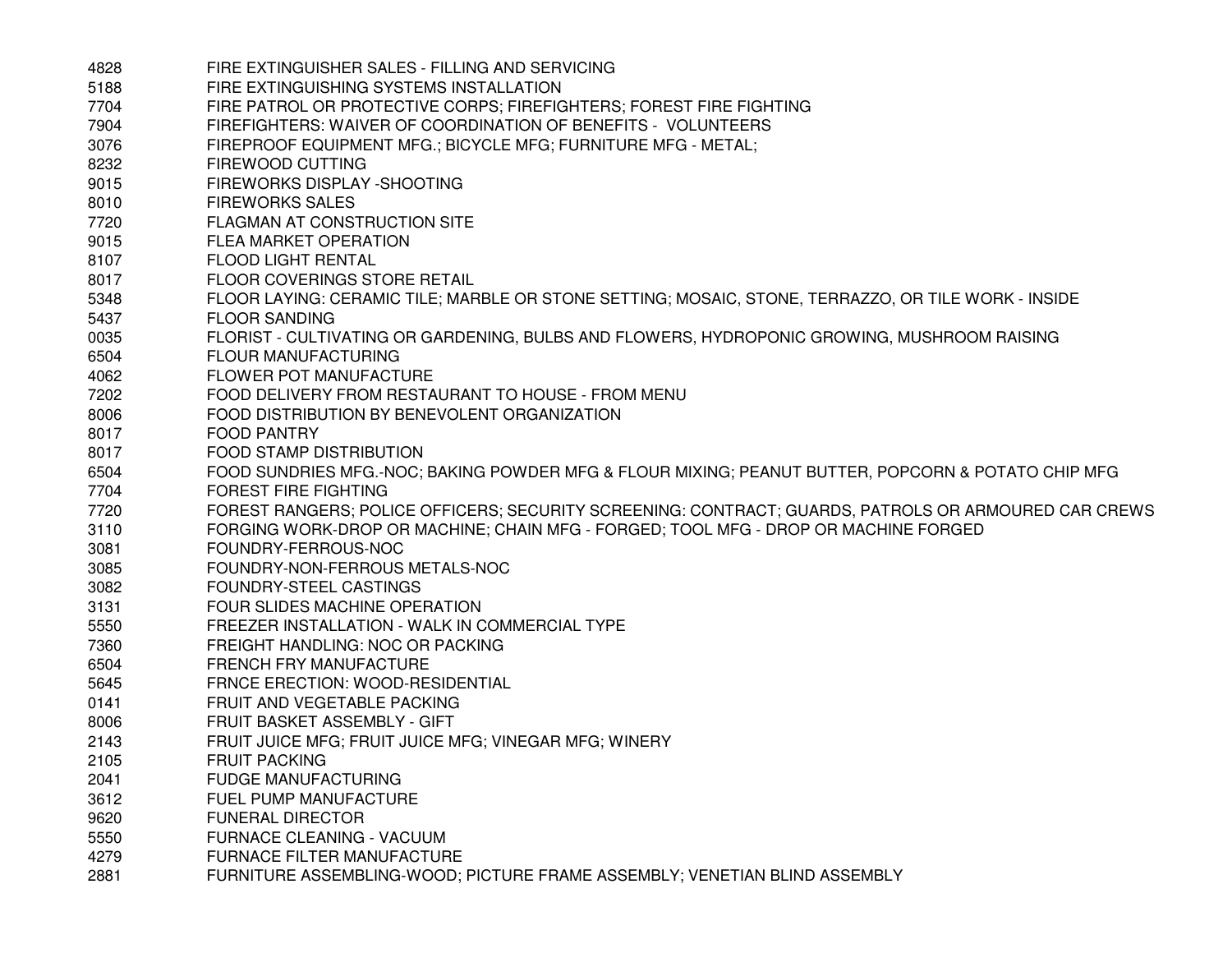| 4828 | FIRE EXTINGUISHER SALES - FILLING AND SERVICING                                                      |
|------|------------------------------------------------------------------------------------------------------|
| 5188 | FIRE EXTINGUISHING SYSTEMS INSTALLATION                                                              |
| 7704 | FIRE PATROL OR PROTECTIVE CORPS; FIREFIGHTERS; FOREST FIRE FIGHTING                                  |
| 7904 | FIREFIGHTERS: WAIVER OF COORDINATION OF BENEFITS - VOLUNTEERS                                        |
| 3076 | FIREPROOF EQUIPMENT MFG.; BICYCLE MFG; FURNITURE MFG - METAL;                                        |
| 8232 | FIREWOOD CUTTING                                                                                     |
| 9015 | FIREWORKS DISPLAY - SHOOTING                                                                         |
| 8010 | <b>FIREWORKS SALES</b>                                                                               |
| 7720 | FLAGMAN AT CONSTRUCTION SITE                                                                         |
| 9015 | FLEA MARKET OPERATION                                                                                |
| 8107 | <b>FLOOD LIGHT RENTAL</b>                                                                            |
| 8017 | <b>FLOOR COVERINGS STORE RETAIL</b>                                                                  |
| 5348 | FLOOR LAYING: CERAMIC TILE; MARBLE OR STONE SETTING; MOSAIC, STONE, TERRAZZO, OR TILE WORK - INSIDE  |
| 5437 | <b>FLOOR SANDING</b>                                                                                 |
| 0035 | FLORIST - CULTIVATING OR GARDENING, BULBS AND FLOWERS, HYDROPONIC GROWING, MUSHROOM RAISING          |
| 6504 | <b>FLOUR MANUFACTURING</b>                                                                           |
| 4062 | FLOWER POT MANUFACTURE                                                                               |
| 7202 | FOOD DELIVERY FROM RESTAURANT TO HOUSE - FROM MENU                                                   |
| 8006 | FOOD DISTRIBUTION BY BENEVOLENT ORGANIZATION                                                         |
| 8017 | <b>FOOD PANTRY</b>                                                                                   |
| 8017 | <b>FOOD STAMP DISTRIBUTION</b>                                                                       |
| 6504 | FOOD SUNDRIES MFG.-NOC; BAKING POWDER MFG & FLOUR MIXING; PEANUT BUTTER, POPCORN & POTATO CHIP MFG   |
| 7704 | <b>FOREST FIRE FIGHTING</b>                                                                          |
| 7720 | FOREST RANGERS; POLICE OFFICERS; SECURITY SCREENING: CONTRACT; GUARDS, PATROLS OR ARMOURED CAR CREWS |
| 3110 | FORGING WORK-DROP OR MACHINE; CHAIN MFG - FORGED; TOOL MFG - DROP OR MACHINE FORGED                  |
| 3081 | FOUNDRY-FERROUS-NOC                                                                                  |
| 3085 | FOUNDRY-NON-FERROUS METALS-NOC                                                                       |
| 3082 | FOUNDRY-STEEL CASTINGS                                                                               |
| 3131 | FOUR SLIDES MACHINE OPERATION                                                                        |
| 5550 | FREEZER INSTALLATION - WALK IN COMMERCIAL TYPE                                                       |
| 7360 | FREIGHT HANDLING: NOC OR PACKING                                                                     |
| 6504 | FRENCH FRY MANUFACTURE                                                                               |
| 5645 | FRNCE ERECTION: WOOD-RESIDENTIAL                                                                     |
| 0141 | FRUIT AND VEGETABLE PACKING                                                                          |
| 8006 | FRUIT BASKET ASSEMBLY - GIFT                                                                         |
| 2143 | FRUIT JUICE MFG; FRUIT JUICE MFG; VINEGAR MFG; WINERY                                                |
| 2105 | <b>FRUIT PACKING</b>                                                                                 |
| 2041 | <b>FUDGE MANUFACTURING</b>                                                                           |
| 3612 | FUEL PUMP MANUFACTURE                                                                                |
| 9620 | <b>FUNERAL DIRECTOR</b>                                                                              |
| 5550 | <b>FURNACE CLEANING - VACUUM</b>                                                                     |
| 4279 | <b>FURNACE FILTER MANUFACTURE</b>                                                                    |
| 2881 | FURNITURE ASSEMBLING-WOOD; PICTURE FRAME ASSEMBLY; VENETIAN BLIND ASSEMBLY                           |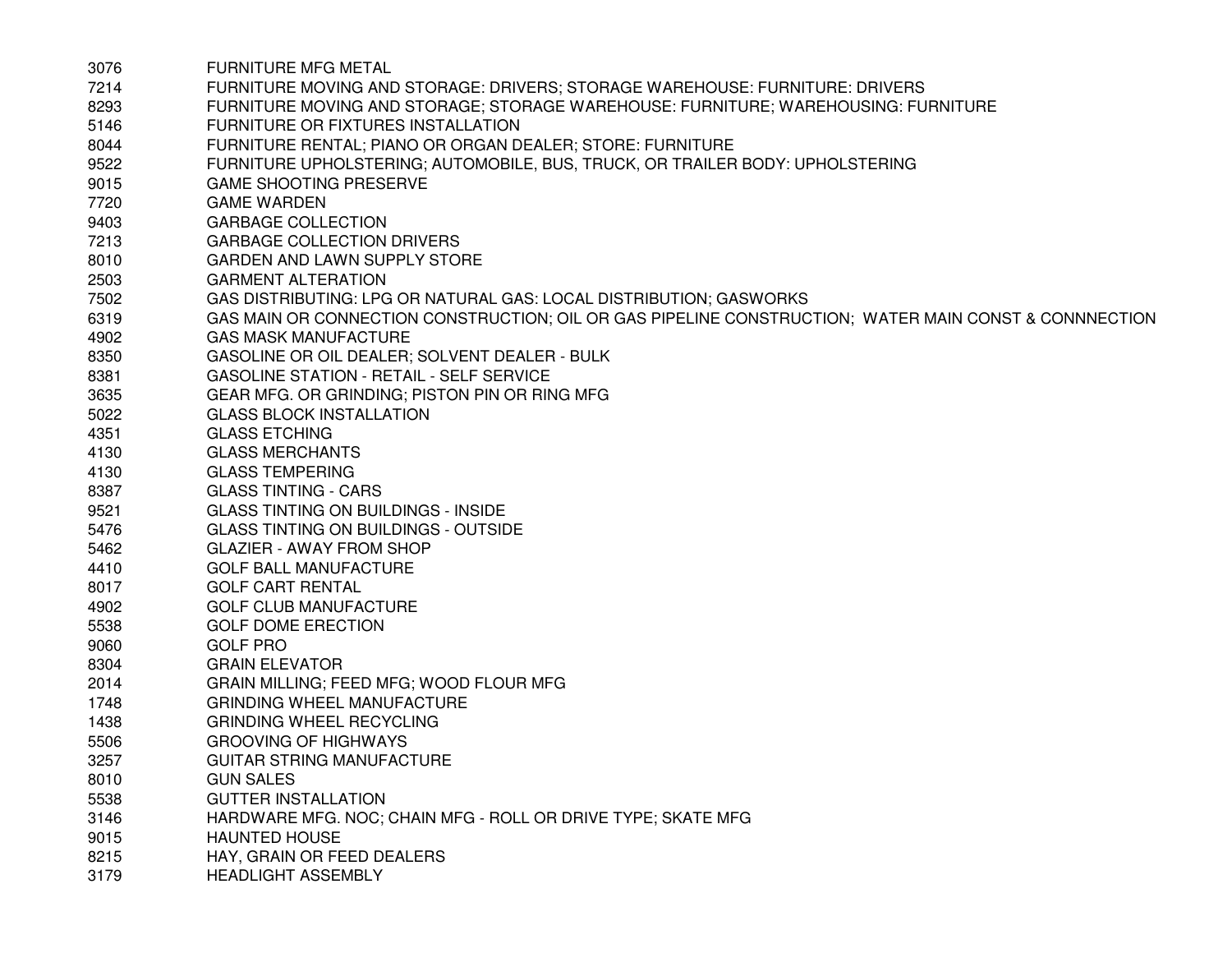| 3076 | <b>FURNITURE MFG METAL</b>                                                                            |
|------|-------------------------------------------------------------------------------------------------------|
| 7214 | FURNITURE MOVING AND STORAGE: DRIVERS; STORAGE WAREHOUSE: FURNITURE: DRIVERS                          |
| 8293 | FURNITURE MOVING AND STORAGE; STORAGE WAREHOUSE: FURNITURE; WAREHOUSING: FURNITURE                    |
| 5146 | FURNITURE OR FIXTURES INSTALLATION                                                                    |
| 8044 | FURNITURE RENTAL; PIANO OR ORGAN DEALER; STORE: FURNITURE                                             |
| 9522 | FURNITURE UPHOLSTERING; AUTOMOBILE, BUS, TRUCK, OR TRAILER BODY: UPHOLSTERING                         |
| 9015 | <b>GAME SHOOTING PRESERVE</b>                                                                         |
| 7720 | <b>GAME WARDEN</b>                                                                                    |
| 9403 | <b>GARBAGE COLLECTION</b>                                                                             |
| 7213 | <b>GARBAGE COLLECTION DRIVERS</b>                                                                     |
| 8010 | GARDEN AND LAWN SUPPLY STORE                                                                          |
| 2503 | <b>GARMENT ALTERATION</b>                                                                             |
| 7502 | GAS DISTRIBUTING: LPG OR NATURAL GAS: LOCAL DISTRIBUTION; GASWORKS                                    |
| 6319 | GAS MAIN OR CONNECTION CONSTRUCTION; OIL OR GAS PIPELINE CONSTRUCTION; WATER MAIN CONST & CONNNECTION |
| 4902 | <b>GAS MASK MANUFACTURE</b>                                                                           |
| 8350 | GASOLINE OR OIL DEALER; SOLVENT DEALER - BULK                                                         |
| 8381 | <b>GASOLINE STATION - RETAIL - SELF SERVICE</b>                                                       |
| 3635 | GEAR MFG. OR GRINDING; PISTON PIN OR RING MFG                                                         |
| 5022 | <b>GLASS BLOCK INSTALLATION</b>                                                                       |
| 4351 | <b>GLASS ETCHING</b>                                                                                  |
| 4130 | <b>GLASS MERCHANTS</b>                                                                                |
| 4130 | <b>GLASS TEMPERING</b>                                                                                |
| 8387 | <b>GLASS TINTING - CARS</b>                                                                           |
| 9521 | <b>GLASS TINTING ON BUILDINGS - INSIDE</b>                                                            |
| 5476 | <b>GLASS TINTING ON BUILDINGS - OUTSIDE</b>                                                           |
| 5462 | <b>GLAZIER - AWAY FROM SHOP</b>                                                                       |
| 4410 | <b>GOLF BALL MANUFACTURE</b>                                                                          |
| 8017 | <b>GOLF CART RENTAL</b>                                                                               |
| 4902 | <b>GOLF CLUB MANUFACTURE</b>                                                                          |
| 5538 | <b>GOLF DOME ERECTION</b>                                                                             |
| 9060 | <b>GOLF PRO</b>                                                                                       |
| 8304 | <b>GRAIN ELEVATOR</b>                                                                                 |
| 2014 | GRAIN MILLING; FEED MFG; WOOD FLOUR MFG                                                               |
| 1748 | <b>GRINDING WHEEL MANUFACTURE</b>                                                                     |
| 1438 | <b>GRINDING WHEEL RECYCLING</b>                                                                       |
| 5506 | <b>GROOVING OF HIGHWAYS</b>                                                                           |
| 3257 | GUITAR STRING MANUFACTURE                                                                             |
| 8010 | <b>GUN SALES</b>                                                                                      |
| 5538 | <b>GUTTER INSTALLATION</b>                                                                            |
| 3146 | HARDWARE MFG. NOC; CHAIN MFG - ROLL OR DRIVE TYPE; SKATE MFG                                          |
| 9015 | <b>HAUNTED HOUSE</b>                                                                                  |
| 8215 | HAY, GRAIN OR FEED DEALERS                                                                            |
| 3179 | <b>HEADLIGHT ASSEMBLY</b>                                                                             |
|      |                                                                                                       |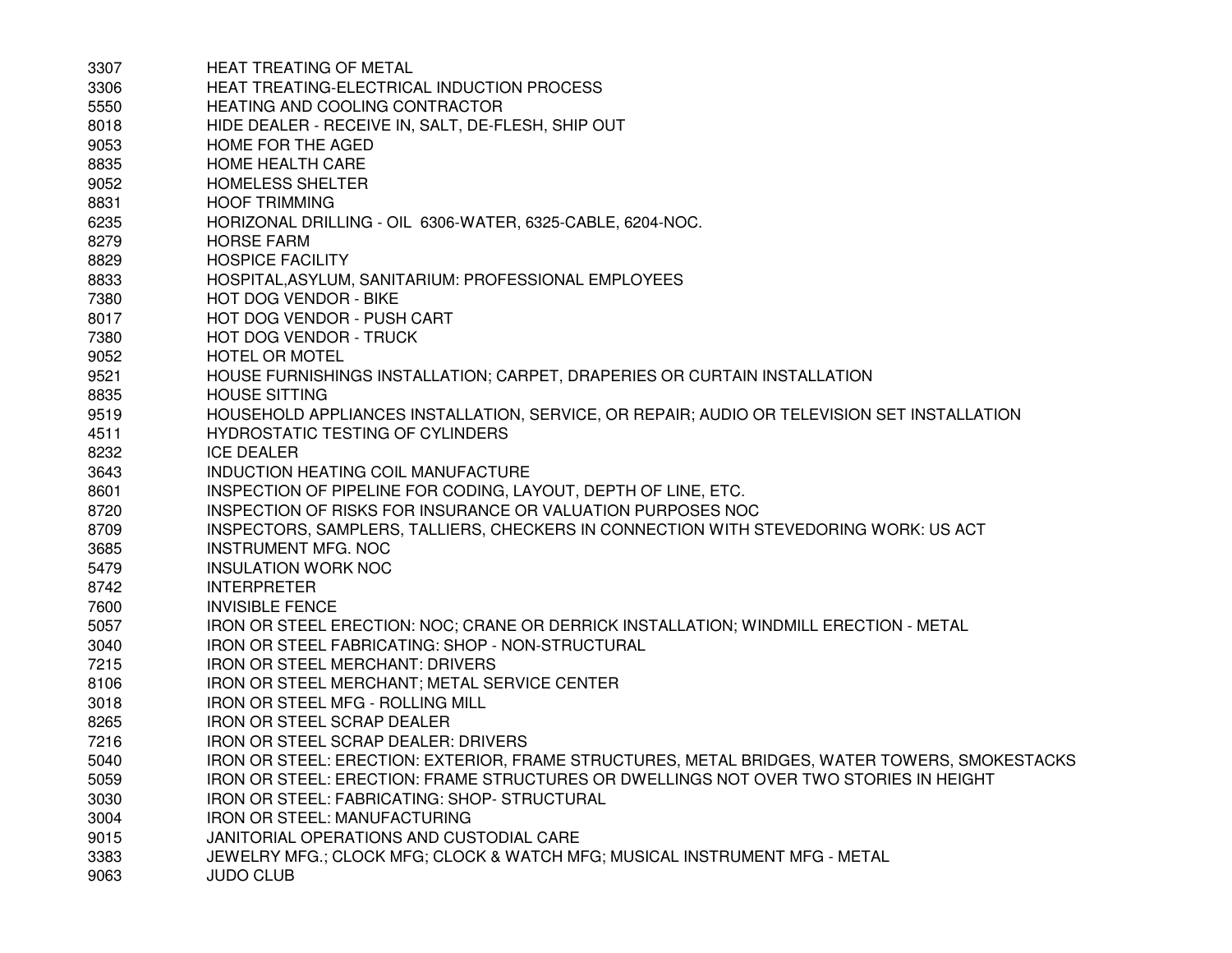| 3307 | HEAT TREATING OF METAL                                                                        |
|------|-----------------------------------------------------------------------------------------------|
| 3306 | HEAT TREATING-ELECTRICAL INDUCTION PROCESS                                                    |
| 5550 | HEATING AND COOLING CONTRACTOR                                                                |
| 8018 | HIDE DEALER - RECEIVE IN, SALT, DE-FLESH, SHIP OUT                                            |
| 9053 | HOME FOR THE AGED                                                                             |
| 8835 | HOME HEALTH CARE                                                                              |
| 9052 | <b>HOMELESS SHELTER</b>                                                                       |
| 8831 | <b>HOOF TRIMMING</b>                                                                          |
| 6235 | HORIZONAL DRILLING - OIL 6306-WATER, 6325-CABLE, 6204-NOC.                                    |
| 8279 | <b>HORSE FARM</b>                                                                             |
| 8829 | <b>HOSPICE FACILITY</b>                                                                       |
| 8833 | HOSPITAL, ASYLUM, SANITARIUM: PROFESSIONAL EMPLOYEES                                          |
| 7380 | HOT DOG VENDOR - BIKE                                                                         |
| 8017 | HOT DOG VENDOR - PUSH CART                                                                    |
| 7380 | <b>HOT DOG VENDOR - TRUCK</b>                                                                 |
| 9052 | <b>HOTEL OR MOTEL</b>                                                                         |
| 9521 | HOUSE FURNISHINGS INSTALLATION; CARPET, DRAPERIES OR CURTAIN INSTALLATION                     |
| 8835 | <b>HOUSE SITTING</b>                                                                          |
| 9519 | HOUSEHOLD APPLIANCES INSTALLATION, SERVICE, OR REPAIR; AUDIO OR TELEVISION SET INSTALLATION   |
| 4511 | HYDROSTATIC TESTING OF CYLINDERS                                                              |
| 8232 | <b>ICE DEALER</b>                                                                             |
| 3643 | INDUCTION HEATING COIL MANUFACTURE                                                            |
| 8601 | INSPECTION OF PIPELINE FOR CODING, LAYOUT, DEPTH OF LINE, ETC.                                |
| 8720 | INSPECTION OF RISKS FOR INSURANCE OR VALUATION PURPOSES NOC                                   |
| 8709 | INSPECTORS, SAMPLERS, TALLIERS, CHECKERS IN CONNECTION WITH STEVEDORING WORK: US ACT          |
| 3685 | <b>INSTRUMENT MFG. NOC</b>                                                                    |
| 5479 | <b>INSULATION WORK NOC</b>                                                                    |
| 8742 | <b>INTERPRETER</b>                                                                            |
| 7600 | <b>INVISIBLE FENCE</b>                                                                        |
| 5057 | IRON OR STEEL ERECTION: NOC; CRANE OR DERRICK INSTALLATION; WINDMILL ERECTION - METAL         |
| 3040 | IRON OR STEEL FABRICATING: SHOP - NON-STRUCTURAL                                              |
| 7215 | <b>IRON OR STEEL MERCHANT: DRIVERS</b>                                                        |
| 8106 | IRON OR STEEL MERCHANT; METAL SERVICE CENTER                                                  |
| 3018 | IRON OR STEEL MFG - ROLLING MILL                                                              |
| 8265 | <b>IRON OR STEEL SCRAP DEALER</b>                                                             |
| 7216 | <b>IRON OR STEEL SCRAP DEALER: DRIVERS</b>                                                    |
| 5040 | IRON OR STEEL: ERECTION: EXTERIOR, FRAME STRUCTURES, METAL BRIDGES, WATER TOWERS, SMOKESTACKS |
| 5059 | IRON OR STEEL: ERECTION: FRAME STRUCTURES OR DWELLINGS NOT OVER TWO STORIES IN HEIGHT         |
| 3030 | IRON OR STEEL: FABRICATING: SHOP- STRUCTURAL                                                  |
| 3004 | IRON OR STEEL: MANUFACTURING                                                                  |
| 9015 | JANITORIAL OPERATIONS AND CUSTODIAL CARE                                                      |
| 3383 | JEWELRY MFG.; CLOCK MFG; CLOCK & WATCH MFG; MUSICAL INSTRUMENT MFG - METAL                    |
| 9063 | <b>JUDO CLUB</b>                                                                              |
|      |                                                                                               |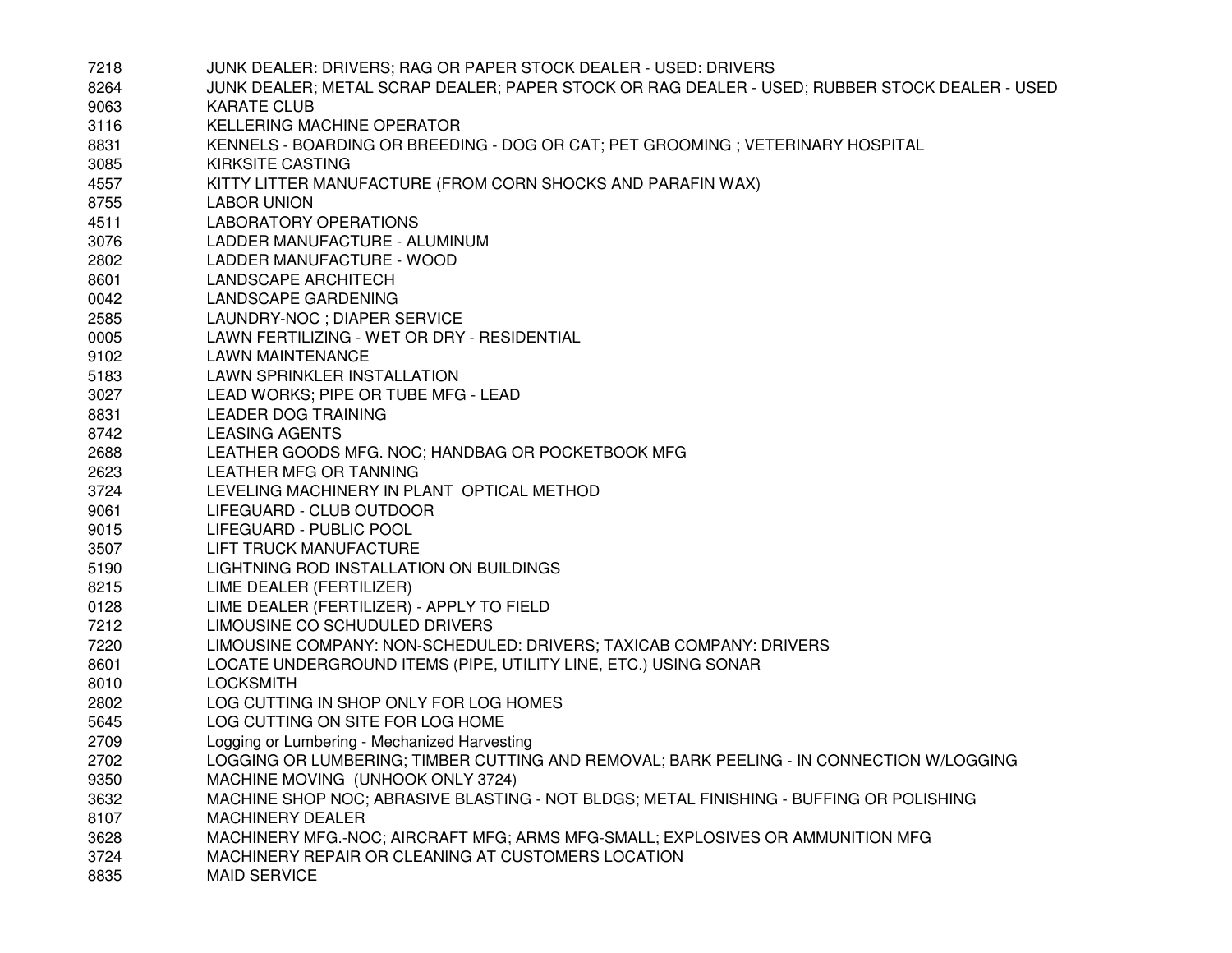| 7218 | JUNK DEALER: DRIVERS; RAG OR PAPER STOCK DEALER - USED: DRIVERS                               |
|------|-----------------------------------------------------------------------------------------------|
| 8264 | JUNK DEALER; METAL SCRAP DEALER; PAPER STOCK OR RAG DEALER - USED; RUBBER STOCK DEALER - USED |
| 9063 | <b>KARATE CLUB</b>                                                                            |
| 3116 | KELLERING MACHINE OPERATOR                                                                    |
| 8831 | KENNELS - BOARDING OR BREEDING - DOG OR CAT; PET GROOMING ; VETERINARY HOSPITAL               |
| 3085 | <b>KIRKSITE CASTING</b>                                                                       |
| 4557 | KITTY LITTER MANUFACTURE (FROM CORN SHOCKS AND PARAFIN WAX)                                   |
| 8755 | <b>LABOR UNION</b>                                                                            |
| 4511 | LABORATORY OPERATIONS                                                                         |
| 3076 | LADDER MANUFACTURE - ALUMINUM                                                                 |
| 2802 | LADDER MANUFACTURE - WOOD                                                                     |
| 8601 | <b>LANDSCAPE ARCHITECH</b>                                                                    |
| 0042 | LANDSCAPE GARDENING                                                                           |
| 2585 | LAUNDRY-NOC ; DIAPER SERVICE                                                                  |
| 0005 | LAWN FERTILIZING - WET OR DRY - RESIDENTIAL                                                   |
| 9102 | <b>LAWN MAINTENANCE</b>                                                                       |
| 5183 | LAWN SPRINKLER INSTALLATION                                                                   |
| 3027 | LEAD WORKS; PIPE OR TUBE MFG - LEAD                                                           |
| 8831 | <b>LEADER DOG TRAINING</b>                                                                    |
| 8742 | <b>LEASING AGENTS</b>                                                                         |
| 2688 | LEATHER GOODS MFG. NOC; HANDBAG OR POCKETBOOK MFG                                             |
| 2623 | LEATHER MFG OR TANNING                                                                        |
| 3724 | LEVELING MACHINERY IN PLANT OPTICAL METHOD                                                    |
| 9061 | LIFEGUARD - CLUB OUTDOOR                                                                      |
| 9015 | LIFEGUARD - PUBLIC POOL                                                                       |
| 3507 | LIFT TRUCK MANUFACTURE                                                                        |
| 5190 | LIGHTNING ROD INSTALLATION ON BUILDINGS                                                       |
| 8215 | LIME DEALER (FERTILIZER)                                                                      |
| 0128 | LIME DEALER (FERTILIZER) - APPLY TO FIELD                                                     |
| 7212 | LIMOUSINE CO SCHUDULED DRIVERS                                                                |
| 7220 | LIMOUSINE COMPANY: NON-SCHEDULED: DRIVERS; TAXICAB COMPANY: DRIVERS                           |
| 8601 | LOCATE UNDERGROUND ITEMS (PIPE, UTILITY LINE, ETC.) USING SONAR                               |
| 8010 | <b>LOCKSMITH</b>                                                                              |
| 2802 | LOG CUTTING IN SHOP ONLY FOR LOG HOMES                                                        |
| 5645 | LOG CUTTING ON SITE FOR LOG HOME                                                              |
| 2709 | Logging or Lumbering - Mechanized Harvesting                                                  |
| 2702 | LOGGING OR LUMBERING; TIMBER CUTTING AND REMOVAL; BARK PEELING - IN CONNECTION W/LOGGING      |
| 9350 | MACHINE MOVING (UNHOOK ONLY 3724)                                                             |
| 3632 | MACHINE SHOP NOC; ABRASIVE BLASTING - NOT BLDGS; METAL FINISHING - BUFFING OR POLISHING       |
| 8107 | <b>MACHINERY DEALER</b>                                                                       |
| 3628 | MACHINERY MFG.-NOC; AIRCRAFT MFG; ARMS MFG-SMALL; EXPLOSIVES OR AMMUNITION MFG                |
| 3724 | MACHINERY REPAIR OR CLEANING AT CUSTOMERS LOCATION                                            |
| 8835 | <b>MAID SERVICE</b>                                                                           |
|      |                                                                                               |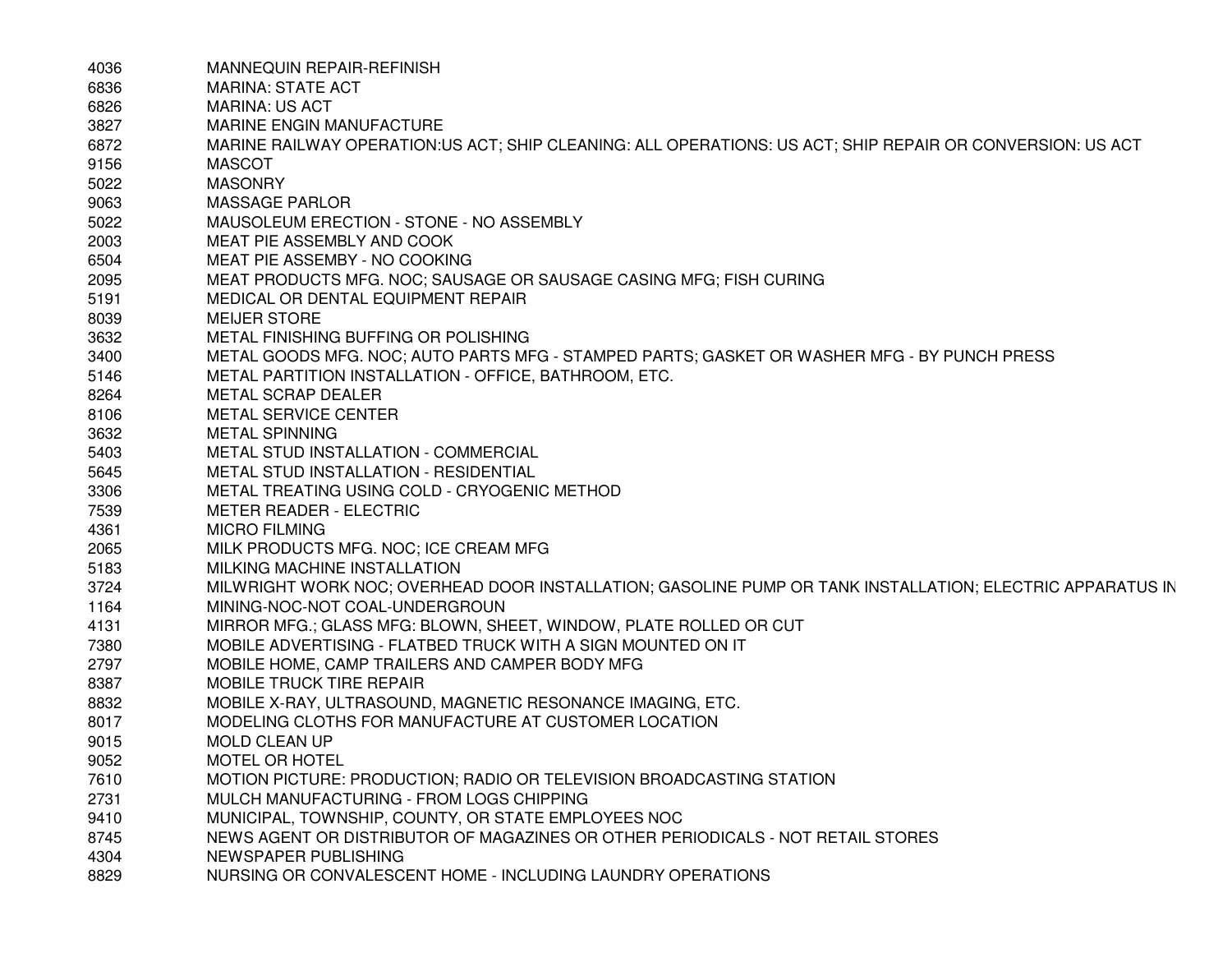| 4036 | MANNEQUIN REPAIR-REFINISH                                                                                 |
|------|-----------------------------------------------------------------------------------------------------------|
| 6836 | <b>MARINA: STATE ACT</b>                                                                                  |
| 6826 | <b>MARINA: US ACT</b>                                                                                     |
| 3827 | MARINE ENGIN MANUFACTURE                                                                                  |
| 6872 | MARINE RAILWAY OPERATION:US ACT; SHIP CLEANING: ALL OPERATIONS: US ACT; SHIP REPAIR OR CONVERSION: US ACT |
| 9156 | <b>MASCOT</b>                                                                                             |
| 5022 | <b>MASONRY</b>                                                                                            |
| 9063 | <b>MASSAGE PARLOR</b>                                                                                     |
| 5022 | MAUSOLEUM ERECTION - STONE - NO ASSEMBLY                                                                  |
| 2003 | MEAT PIE ASSEMBLY AND COOK                                                                                |
| 6504 | MEAT PIE ASSEMBY - NO COOKING                                                                             |
| 2095 | MEAT PRODUCTS MFG. NOC; SAUSAGE OR SAUSAGE CASING MFG; FISH CURING                                        |
| 5191 | MEDICAL OR DENTAL EQUIPMENT REPAIR                                                                        |
| 8039 | <b>MEIJER STORE</b>                                                                                       |
| 3632 | METAL FINISHING BUFFING OR POLISHING                                                                      |
| 3400 | METAL GOODS MFG. NOC; AUTO PARTS MFG - STAMPED PARTS; GASKET OR WASHER MFG - BY PUNCH PRESS               |
| 5146 | METAL PARTITION INSTALLATION - OFFICE, BATHROOM, ETC.                                                     |
| 8264 | METAL SCRAP DEALER                                                                                        |
| 8106 | <b>METAL SERVICE CENTER</b>                                                                               |
| 3632 | <b>METAL SPINNING</b>                                                                                     |
| 5403 | METAL STUD INSTALLATION - COMMERCIAL                                                                      |
| 5645 | METAL STUD INSTALLATION - RESIDENTIAL                                                                     |
| 3306 | METAL TREATING USING COLD - CRYOGENIC METHOD                                                              |
| 7539 | <b>METER READER - ELECTRIC</b>                                                                            |
| 4361 | <b>MICRO FILMING</b>                                                                                      |
| 2065 | MILK PRODUCTS MFG. NOC; ICE CREAM MFG                                                                     |
| 5183 | MILKING MACHINE INSTALLATION                                                                              |
| 3724 | MILWRIGHT WORK NOC; OVERHEAD DOOR INSTALLATION; GASOLINE PUMP OR TANK INSTALLATION; ELECTRIC APPARATUS IN |
| 1164 | MINING-NOC-NOT COAL-UNDERGROUN                                                                            |
| 4131 | MIRROR MFG.; GLASS MFG: BLOWN, SHEET, WINDOW, PLATE ROLLED OR CUT                                         |
| 7380 | MOBILE ADVERTISING - FLATBED TRUCK WITH A SIGN MOUNTED ON IT                                              |
| 2797 | MOBILE HOME, CAMP TRAILERS AND CAMPER BODY MFG                                                            |
| 8387 | MOBILE TRUCK TIRE REPAIR                                                                                  |
| 8832 | MOBILE X-RAY, ULTRASOUND, MAGNETIC RESONANCE IMAGING, ETC.                                                |
| 8017 | MODELING CLOTHS FOR MANUFACTURE AT CUSTOMER LOCATION                                                      |
| 9015 | <b>MOLD CLEAN UP</b>                                                                                      |
| 9052 | MOTEL OR HOTEL                                                                                            |
| 7610 | MOTION PICTURE: PRODUCTION; RADIO OR TELEVISION BROADCASTING STATION                                      |
| 2731 | MULCH MANUFACTURING - FROM LOGS CHIPPING                                                                  |
| 9410 | MUNICIPAL, TOWNSHIP, COUNTY, OR STATE EMPLOYEES NOC                                                       |
| 8745 | NEWS AGENT OR DISTRIBUTOR OF MAGAZINES OR OTHER PERIODICALS - NOT RETAIL STORES                           |
| 4304 | NEWSPAPER PUBLISHING                                                                                      |
| 8829 | NURSING OR CONVALESCENT HOME - INCLUDING LAUNDRY OPERATIONS                                               |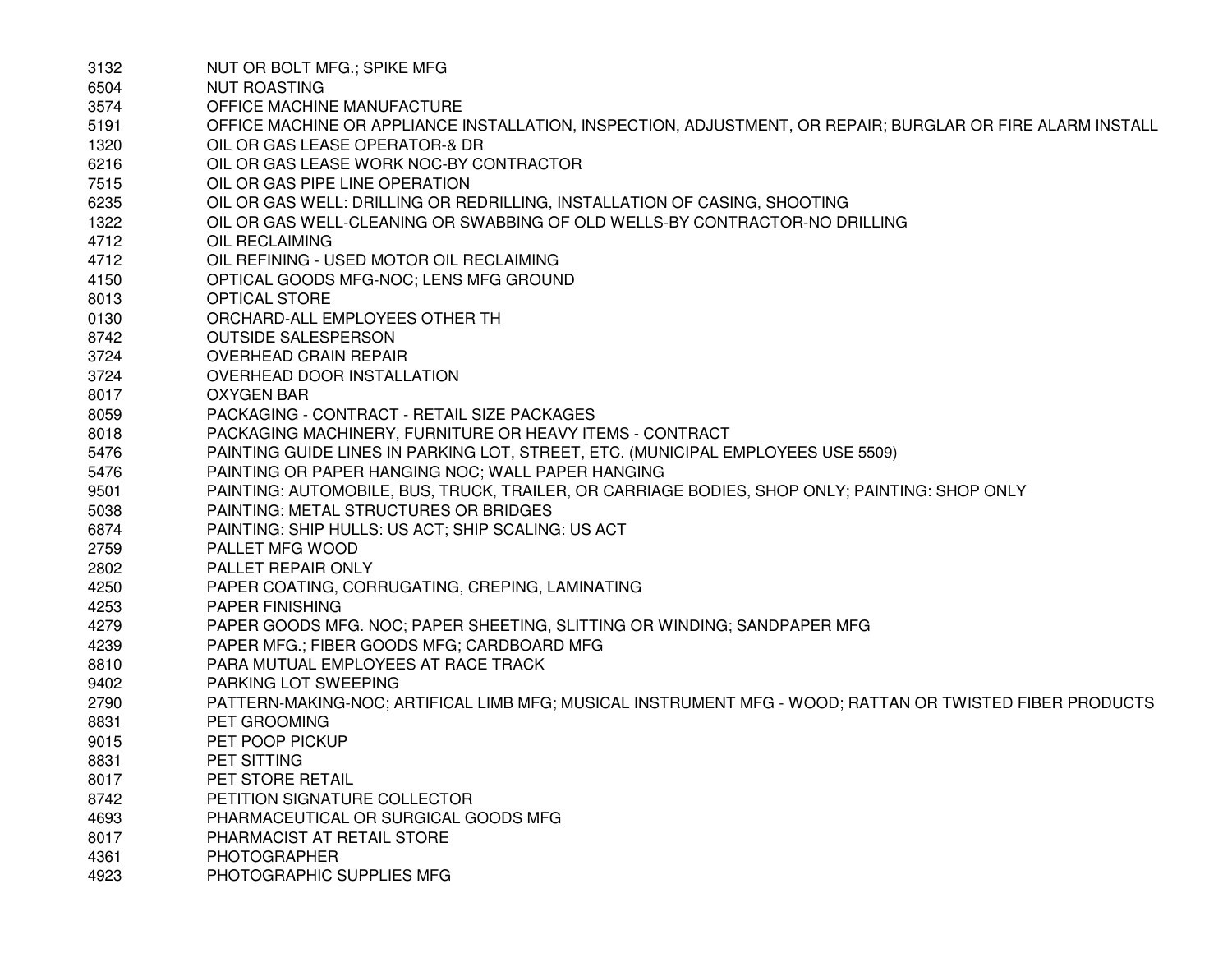| 3132 | NUT OR BOLT MFG.; SPIKE MFG.                                                                               |
|------|------------------------------------------------------------------------------------------------------------|
| 6504 | <b>NUT ROASTING</b>                                                                                        |
| 3574 | OFFICE MACHINE MANUFACTURE                                                                                 |
| 5191 | OFFICE MACHINE OR APPLIANCE INSTALLATION, INSPECTION, ADJUSTMENT, OR REPAIR; BURGLAR OR FIRE ALARM INSTALL |
| 1320 | OIL OR GAS LEASE OPERATOR-& DR                                                                             |
| 6216 | OIL OR GAS LEASE WORK NOC-BY CONTRACTOR                                                                    |
| 7515 | OIL OR GAS PIPE LINE OPERATION                                                                             |
| 6235 | OIL OR GAS WELL: DRILLING OR REDRILLING, INSTALLATION OF CASING, SHOOTING                                  |
| 1322 | OIL OR GAS WELL-CLEANING OR SWABBING OF OLD WELLS-BY CONTRACTOR-NO DRILLING                                |
| 4712 | OIL RECLAIMING                                                                                             |
| 4712 | OIL REFINING - USED MOTOR OIL RECLAIMING                                                                   |
| 4150 | OPTICAL GOODS MFG-NOC; LENS MFG GROUND                                                                     |
| 8013 | <b>OPTICAL STORE</b>                                                                                       |
| 0130 | ORCHARD-ALL EMPLOYEES OTHER TH                                                                             |
| 8742 | <b>OUTSIDE SALESPERSON</b>                                                                                 |
| 3724 | <b>OVERHEAD CRAIN REPAIR</b>                                                                               |
| 3724 | OVERHEAD DOOR INSTALLATION                                                                                 |
| 8017 | <b>OXYGEN BAR</b>                                                                                          |
| 8059 | PACKAGING - CONTRACT - RETAIL SIZE PACKAGES                                                                |
| 8018 | PACKAGING MACHINERY, FURNITURE OR HEAVY ITEMS - CONTRACT                                                   |
| 5476 | PAINTING GUIDE LINES IN PARKING LOT, STREET, ETC. (MUNICIPAL EMPLOYEES USE 5509)                           |
| 5476 | PAINTING OR PAPER HANGING NOC; WALL PAPER HANGING                                                          |
| 9501 | PAINTING: AUTOMOBILE, BUS, TRUCK, TRAILER, OR CARRIAGE BODIES, SHOP ONLY; PAINTING: SHOP ONLY              |
| 5038 | PAINTING: METAL STRUCTURES OR BRIDGES                                                                      |
| 6874 | PAINTING: SHIP HULLS: US ACT; SHIP SCALING: US ACT                                                         |
| 2759 | PALLET MFG WOOD                                                                                            |
| 2802 | PALLET REPAIR ONLY                                                                                         |
| 4250 | PAPER COATING, CORRUGATING, CREPING, LAMINATING                                                            |
| 4253 | <b>PAPER FINISHING</b>                                                                                     |
| 4279 | PAPER GOODS MFG. NOC; PAPER SHEETING, SLITTING OR WINDING; SANDPAPER MFG                                   |
| 4239 | PAPER MFG.; FIBER GOODS MFG; CARDBOARD MFG                                                                 |
| 8810 | PARA MUTUAL EMPLOYEES AT RACE TRACK                                                                        |
| 9402 | PARKING LOT SWEEPING                                                                                       |
| 2790 | PATTERN-MAKING-NOC; ARTIFICAL LIMB MFG; MUSICAL INSTRUMENT MFG - WOOD; RATTAN OR TWISTED FIBER PRODUCTS    |
| 8831 | PET GROOMING                                                                                               |
| 9015 | PET POOP PICKUP                                                                                            |
| 8831 | PET SITTING                                                                                                |
| 8017 | PET STORE RETAIL                                                                                           |
| 8742 | PETITION SIGNATURE COLLECTOR                                                                               |
| 4693 | PHARMACEUTICAL OR SURGICAL GOODS MFG                                                                       |
| 8017 | PHARMACIST AT RETAIL STORE                                                                                 |
| 4361 | <b>PHOTOGRAPHER</b>                                                                                        |
| 4923 | PHOTOGRAPHIC SUPPLIES MFG                                                                                  |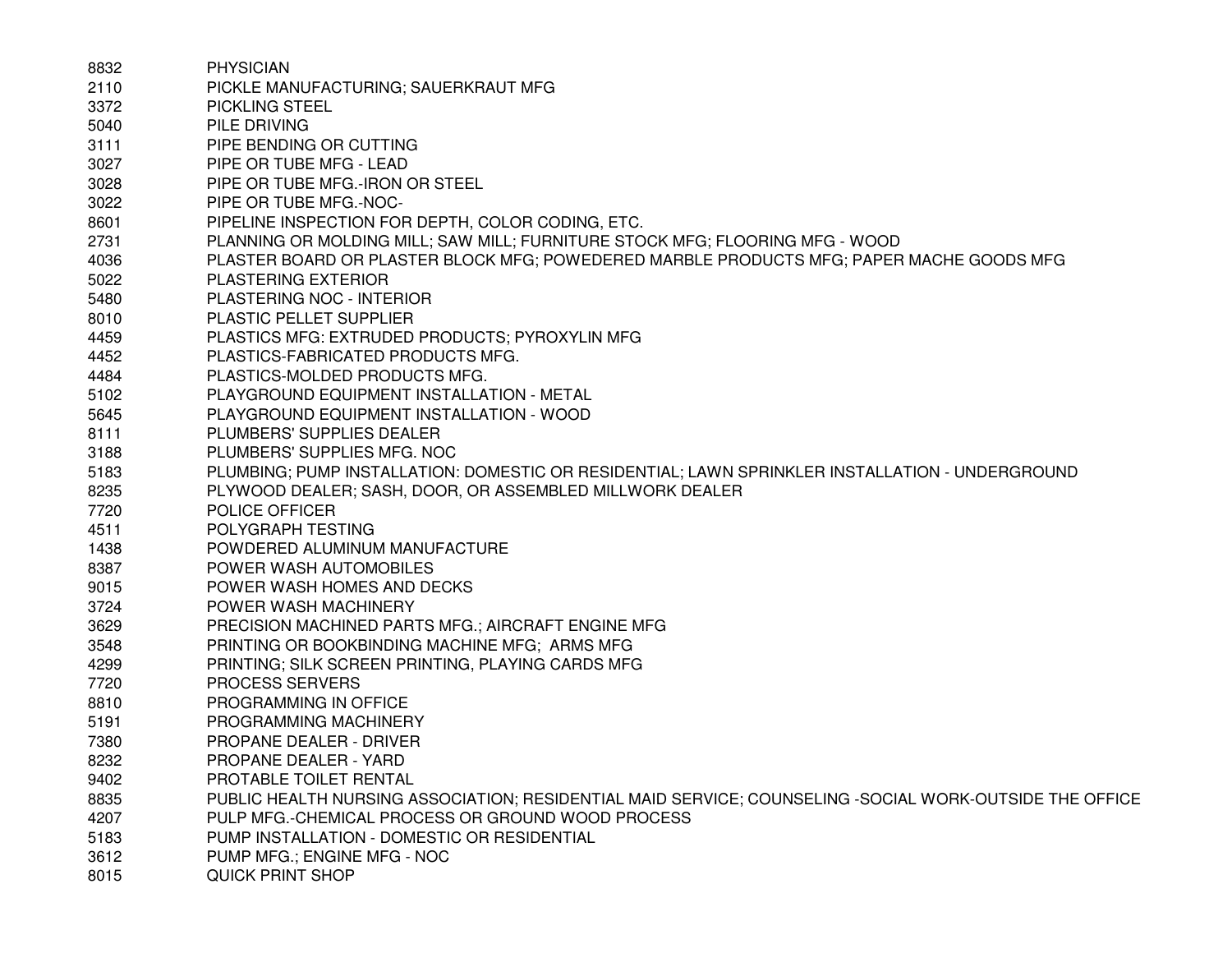| 8832 | <b>PHYSICIAN</b>                                                                                        |
|------|---------------------------------------------------------------------------------------------------------|
| 2110 | PICKLE MANUFACTURING; SAUERKRAUT MFG                                                                    |
| 3372 | <b>PICKLING STEEL</b>                                                                                   |
| 5040 | PILE DRIVING                                                                                            |
| 3111 | PIPE BENDING OR CUTTING                                                                                 |
| 3027 | PIPE OR TUBE MFG - LEAD                                                                                 |
| 3028 | PIPE OR TUBE MFG.-IRON OR STEEL                                                                         |
| 3022 | PIPE OR TUBE MFG.-NOC-                                                                                  |
| 8601 | PIPELINE INSPECTION FOR DEPTH, COLOR CODING, ETC.                                                       |
| 2731 | PLANNING OR MOLDING MILL; SAW MILL; FURNITURE STOCK MFG; FLOORING MFG - WOOD                            |
| 4036 | PLASTER BOARD OR PLASTER BLOCK MFG; POWEDERED MARBLE PRODUCTS MFG; PAPER MACHE GOODS MFG                |
| 5022 | <b>PLASTERING EXTERIOR</b>                                                                              |
| 5480 | PLASTERING NOC - INTERIOR                                                                               |
| 8010 | PLASTIC PELLET SUPPLIER                                                                                 |
| 4459 | PLASTICS MFG: EXTRUDED PRODUCTS; PYROXYLIN MFG                                                          |
| 4452 | PLASTICS-FABRICATED PRODUCTS MFG.                                                                       |
| 4484 | PLASTICS-MOLDED PRODUCTS MFG.                                                                           |
| 5102 | PLAYGROUND EQUIPMENT INSTALLATION - METAL                                                               |
| 5645 | PLAYGROUND EQUIPMENT INSTALLATION - WOOD                                                                |
| 8111 | PLUMBERS' SUPPLIES DEALER                                                                               |
| 3188 | PLUMBERS' SUPPLIES MFG. NOC                                                                             |
| 5183 | PLUMBING; PUMP INSTALLATION: DOMESTIC OR RESIDENTIAL; LAWN SPRINKLER INSTALLATION - UNDERGROUND         |
| 8235 | PLYWOOD DEALER; SASH, DOOR, OR ASSEMBLED MILLWORK DEALER                                                |
| 7720 | POLICE OFFICER                                                                                          |
| 4511 | POLYGRAPH TESTING                                                                                       |
| 1438 | POWDERED ALUMINUM MANUFACTURE                                                                           |
| 8387 | POWER WASH AUTOMOBILES                                                                                  |
| 9015 | POWER WASH HOMES AND DECKS                                                                              |
| 3724 | POWER WASH MACHINERY                                                                                    |
| 3629 | PRECISION MACHINED PARTS MFG.; AIRCRAFT ENGINE MFG                                                      |
| 3548 | PRINTING OR BOOKBINDING MACHINE MFG; ARMS MFG                                                           |
| 4299 | PRINTING; SILK SCREEN PRINTING, PLAYING CARDS MFG                                                       |
| 7720 | <b>PROCESS SERVERS</b>                                                                                  |
| 8810 | PROGRAMMING IN OFFICE                                                                                   |
| 5191 | PROGRAMMING MACHINERY                                                                                   |
| 7380 | PROPANE DEALER - DRIVER                                                                                 |
| 8232 | PROPANE DEALER - YARD                                                                                   |
| 9402 | PROTABLE TOILET RENTAL                                                                                  |
| 8835 | PUBLIC HEALTH NURSING ASSOCIATION; RESIDENTIAL MAID SERVICE; COUNSELING -SOCIAL WORK-OUTSIDE THE OFFICE |
| 4207 | PULP MFG.-CHEMICAL PROCESS OR GROUND WOOD PROCESS                                                       |
| 5183 | PUMP INSTALLATION - DOMESTIC OR RESIDENTIAL                                                             |
| 3612 | PUMP MFG.; ENGINE MFG - NOC                                                                             |
| 8015 | QUICK PRINT SHOP                                                                                        |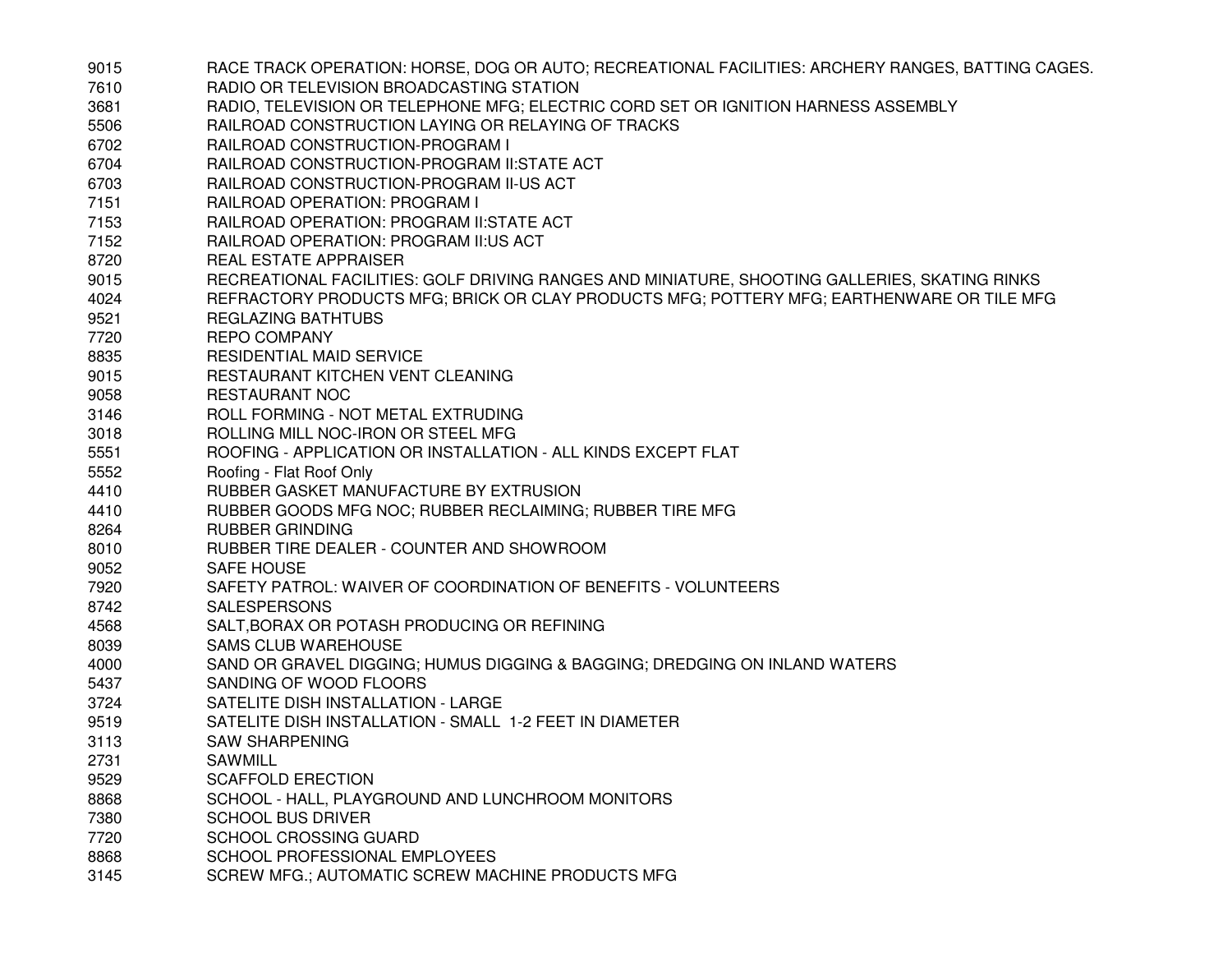| 9015 | RACE TRACK OPERATION: HORSE, DOG OR AUTO; RECREATIONAL FACILITIES: ARCHERY RANGES, BATTING CAGES. |
|------|---------------------------------------------------------------------------------------------------|
| 7610 | RADIO OR TELEVISION BROADCASTING STATION                                                          |
| 3681 | RADIO, TELEVISION OR TELEPHONE MFG; ELECTRIC CORD SET OR IGNITION HARNESS ASSEMBLY                |
| 5506 | RAILROAD CONSTRUCTION LAYING OR RELAYING OF TRACKS                                                |
| 6702 | RAILROAD CONSTRUCTION-PROGRAM I                                                                   |
| 6704 | RAILROAD CONSTRUCTION-PROGRAM II:STATE ACT                                                        |
| 6703 | RAILROAD CONSTRUCTION-PROGRAM II-US ACT                                                           |
| 7151 | RAILROAD OPERATION: PROGRAM I                                                                     |
| 7153 | RAILROAD OPERATION: PROGRAM II: STATE ACT                                                         |
| 7152 | RAILROAD OPERATION: PROGRAM II:US ACT                                                             |
| 8720 | REAL ESTATE APPRAISER                                                                             |
| 9015 | RECREATIONAL FACILITIES: GOLF DRIVING RANGES AND MINIATURE, SHOOTING GALLERIES, SKATING RINKS     |
| 4024 | REFRACTORY PRODUCTS MFG; BRICK OR CLAY PRODUCTS MFG; POTTERY MFG; EARTHENWARE OR TILE MFG         |
| 9521 | REGLAZING BATHTUBS                                                                                |
| 7720 | <b>REPO COMPANY</b>                                                                               |
| 8835 | RESIDENTIAL MAID SERVICE                                                                          |
| 9015 | RESTAURANT KITCHEN VENT CLEANING                                                                  |
| 9058 | <b>RESTAURANT NOC</b>                                                                             |
| 3146 | ROLL FORMING - NOT METAL EXTRUDING                                                                |
| 3018 | ROLLING MILL NOC-IRON OR STEEL MFG                                                                |
| 5551 | ROOFING - APPLICATION OR INSTALLATION - ALL KINDS EXCEPT FLAT                                     |
| 5552 | Roofing - Flat Roof Only                                                                          |
| 4410 | RUBBER GASKET MANUFACTURE BY EXTRUSION                                                            |
| 4410 | RUBBER GOODS MFG NOC; RUBBER RECLAIMING; RUBBER TIRE MFG                                          |
| 8264 | <b>RUBBER GRINDING</b>                                                                            |
| 8010 | RUBBER TIRE DEALER - COUNTER AND SHOWROOM                                                         |
| 9052 | <b>SAFE HOUSE</b>                                                                                 |
| 7920 | SAFETY PATROL: WAIVER OF COORDINATION OF BENEFITS - VOLUNTEERS                                    |
| 8742 | <b>SALESPERSONS</b>                                                                               |
| 4568 | SALT, BORAX OR POTASH PRODUCING OR REFINING                                                       |
| 8039 | <b>SAMS CLUB WAREHOUSE</b>                                                                        |
| 4000 | SAND OR GRAVEL DIGGING; HUMUS DIGGING & BAGGING; DREDGING ON INLAND WATERS                        |
| 5437 | SANDING OF WOOD FLOORS                                                                            |
| 3724 | SATELITE DISH INSTALLATION - LARGE                                                                |
| 9519 | SATELITE DISH INSTALLATION - SMALL 1-2 FEET IN DIAMETER                                           |
| 3113 | <b>SAW SHARPENING</b>                                                                             |
| 2731 | SAWMILL                                                                                           |
| 9529 | <b>SCAFFOLD ERECTION</b>                                                                          |
| 8868 | SCHOOL - HALL, PLAYGROUND AND LUNCHROOM MONITORS                                                  |
| 7380 | <b>SCHOOL BUS DRIVER</b>                                                                          |
| 7720 | <b>SCHOOL CROSSING GUARD</b>                                                                      |
| 8868 | SCHOOL PROFESSIONAL EMPLOYEES                                                                     |
| 3145 | SCREW MFG.; AUTOMATIC SCREW MACHINE PRODUCTS MFG                                                  |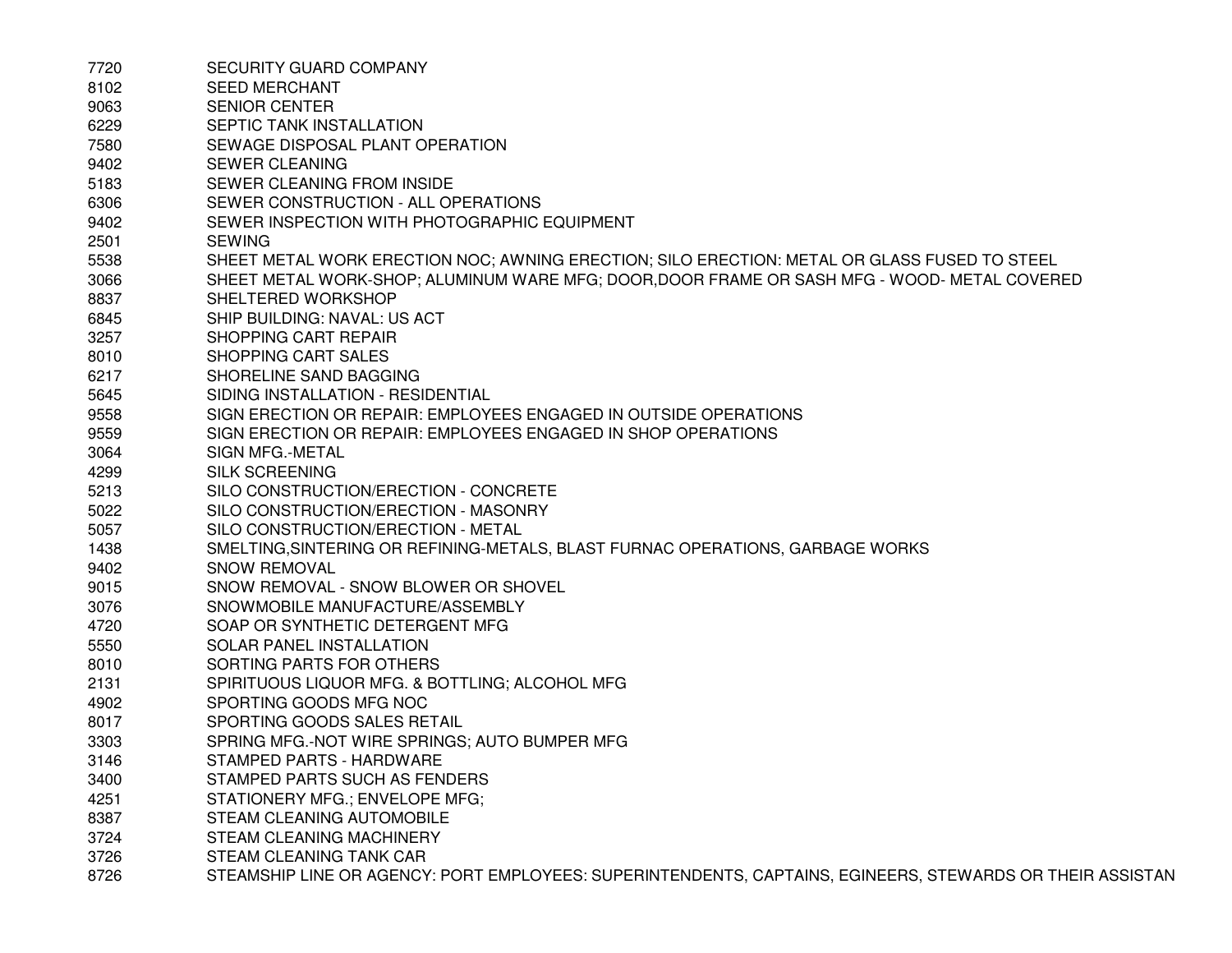| 7720 | SECURITY GUARD COMPANY                                                                                    |
|------|-----------------------------------------------------------------------------------------------------------|
| 8102 | <b>SEED MERCHANT</b>                                                                                      |
| 9063 | <b>SENIOR CENTER</b>                                                                                      |
| 6229 | SEPTIC TANK INSTALLATION                                                                                  |
| 7580 | SEWAGE DISPOSAL PLANT OPERATION                                                                           |
| 9402 | <b>SEWER CLEANING</b>                                                                                     |
| 5183 | SEWER CLEANING FROM INSIDE                                                                                |
| 6306 | SEWER CONSTRUCTION - ALL OPERATIONS                                                                       |
| 9402 | SEWER INSPECTION WITH PHOTOGRAPHIC EQUIPMENT                                                              |
| 2501 | <b>SEWING</b>                                                                                             |
| 5538 | SHEET METAL WORK ERECTION NOC; AWNING ERECTION; SILO ERECTION: METAL OR GLASS FUSED TO STEEL              |
| 3066 | SHEET METAL WORK-SHOP; ALUMINUM WARE MFG; DOOR, DOOR FRAME OR SASH MFG - WOOD- METAL COVERED              |
| 8837 | SHELTERED WORKSHOP                                                                                        |
| 6845 | SHIP BUILDING: NAVAL: US ACT                                                                              |
| 3257 | <b>SHOPPING CART REPAIR</b>                                                                               |
| 8010 | SHOPPING CART SALES                                                                                       |
| 6217 | SHORELINE SAND BAGGING                                                                                    |
| 5645 | SIDING INSTALLATION - RESIDENTIAL                                                                         |
| 9558 | SIGN ERECTION OR REPAIR: EMPLOYEES ENGAGED IN OUTSIDE OPERATIONS                                          |
| 9559 | SIGN ERECTION OR REPAIR: EMPLOYEES ENGAGED IN SHOP OPERATIONS                                             |
| 3064 | SIGN MFG.-METAL                                                                                           |
| 4299 | <b>SILK SCREENING</b>                                                                                     |
| 5213 | SILO CONSTRUCTION/ERECTION - CONCRETE                                                                     |
| 5022 | SILO CONSTRUCTION/ERECTION - MASONRY                                                                      |
| 5057 | SILO CONSTRUCTION/ERECTION - METAL                                                                        |
| 1438 | SMELTING, SINTERING OR REFINING-METALS, BLAST FURNAC OPERATIONS, GARBAGE WORKS                            |
| 9402 | <b>SNOW REMOVAL</b>                                                                                       |
| 9015 | SNOW REMOVAL - SNOW BLOWER OR SHOVEL                                                                      |
| 3076 | SNOWMOBILE MANUFACTURE/ASSEMBLY                                                                           |
| 4720 | SOAP OR SYNTHETIC DETERGENT MFG                                                                           |
| 5550 | SOLAR PANEL INSTALLATION                                                                                  |
| 8010 | SORTING PARTS FOR OTHERS                                                                                  |
| 2131 | SPIRITUOUS LIQUOR MFG. & BOTTLING; ALCOHOL MFG.                                                           |
| 4902 | SPORTING GOODS MFG NOC                                                                                    |
| 8017 | SPORTING GOODS SALES RETAIL                                                                               |
| 3303 | SPRING MFG.-NOT WIRE SPRINGS; AUTO BUMPER MFG                                                             |
| 3146 | STAMPED PARTS - HARDWARE                                                                                  |
| 3400 | STAMPED PARTS SUCH AS FENDERS                                                                             |
| 4251 | STATIONERY MFG.; ENVELOPE MFG;                                                                            |
| 8387 | STEAM CLEANING AUTOMOBILE                                                                                 |
| 3724 | STEAM CLEANING MACHINERY                                                                                  |
| 3726 | STEAM CLEANING TANK CAR                                                                                   |
| 8726 | STEAMSHIP LINE OR AGENCY: PORT EMPLOYEES: SUPERINTENDENTS, CAPTAINS, EGINEERS, STEWARDS OR THEIR ASSISTAN |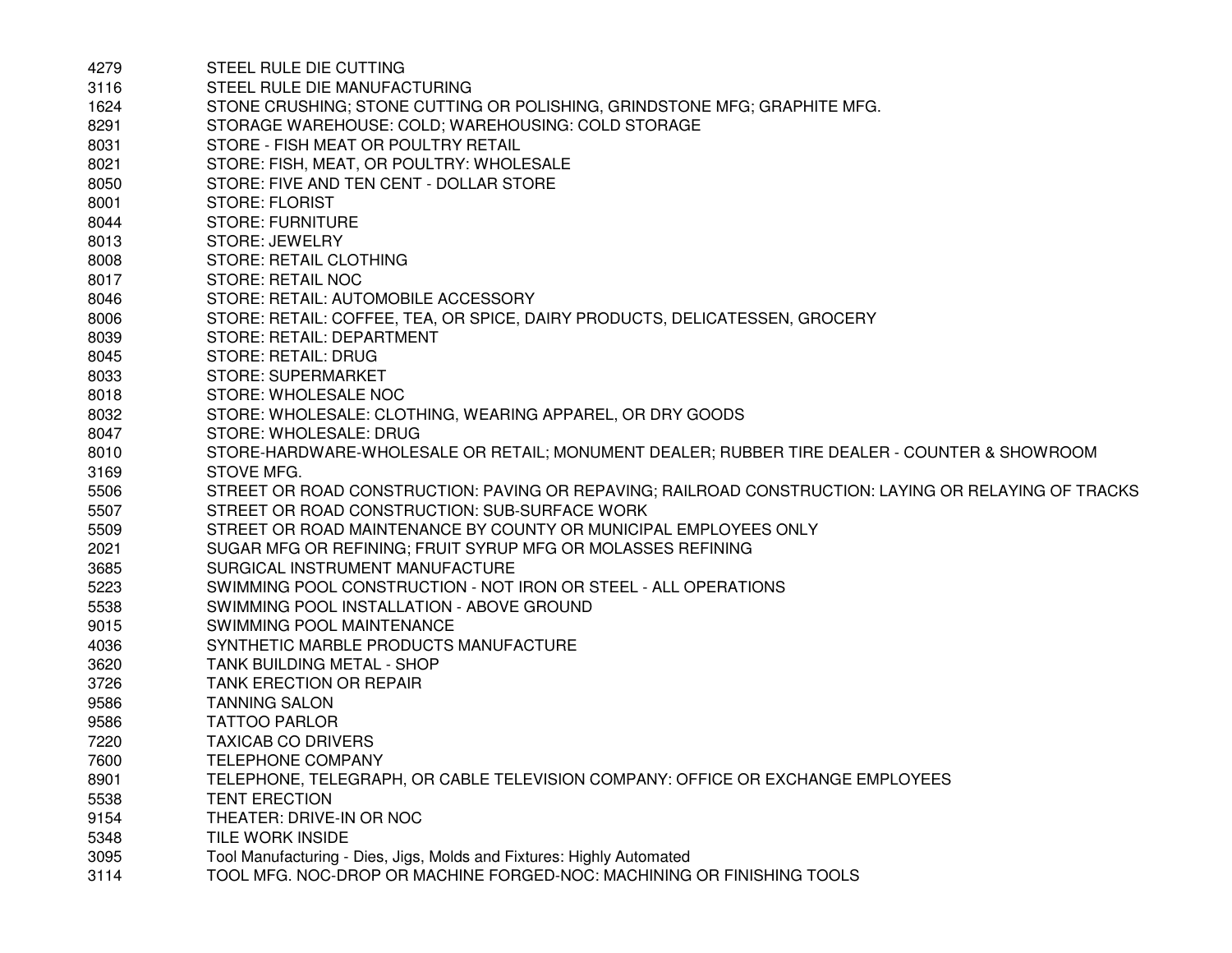| 4279 | STEEL RULE DIE CUTTING                                                                               |
|------|------------------------------------------------------------------------------------------------------|
| 3116 | STEEL RULE DIE MANUFACTURING                                                                         |
| 1624 | STONE CRUSHING; STONE CUTTING OR POLISHING, GRINDSTONE MFG; GRAPHITE MFG.                            |
| 8291 | STORAGE WAREHOUSE: COLD; WAREHOUSING: COLD STORAGE                                                   |
| 8031 | STORE - FISH MEAT OR POULTRY RETAIL                                                                  |
| 8021 | STORE: FISH, MEAT, OR POULTRY: WHOLESALE                                                             |
| 8050 | STORE: FIVE AND TEN CENT - DOLLAR STORE                                                              |
| 8001 | <b>STORE: FLORIST</b>                                                                                |
| 8044 | <b>STORE: FURNITURE</b>                                                                              |
| 8013 | <b>STORE: JEWELRY</b>                                                                                |
| 8008 | STORE: RETAIL CLOTHING                                                                               |
| 8017 | STORE: RETAIL NOC                                                                                    |
| 8046 | STORE: RETAIL: AUTOMOBILE ACCESSORY                                                                  |
| 8006 | STORE: RETAIL: COFFEE, TEA, OR SPICE, DAIRY PRODUCTS, DELICATESSEN, GROCERY                          |
| 8039 | STORE: RETAIL: DEPARTMENT                                                                            |
| 8045 | STORE: RETAIL: DRUG                                                                                  |
| 8033 | <b>STORE: SUPERMARKET</b>                                                                            |
| 8018 | STORE: WHOLESALE NOC                                                                                 |
| 8032 | STORE: WHOLESALE: CLOTHING, WEARING APPAREL, OR DRY GOODS                                            |
| 8047 | STORE: WHOLESALE: DRUG                                                                               |
| 8010 | STORE-HARDWARE-WHOLESALE OR RETAIL; MONUMENT DEALER; RUBBER TIRE DEALER - COUNTER & SHOWROOM         |
| 3169 | STOVE MFG.                                                                                           |
| 5506 | STREET OR ROAD CONSTRUCTION: PAVING OR REPAVING; RAILROAD CONSTRUCTION: LAYING OR RELAYING OF TRACKS |
| 5507 | STREET OR ROAD CONSTRUCTION: SUB-SURFACE WORK                                                        |
| 5509 | STREET OR ROAD MAINTENANCE BY COUNTY OR MUNICIPAL EMPLOYEES ONLY                                     |
| 2021 | SUGAR MFG OR REFINING; FRUIT SYRUP MFG OR MOLASSES REFINING                                          |
| 3685 | SURGICAL INSTRUMENT MANUFACTURE                                                                      |
| 5223 | SWIMMING POOL CONSTRUCTION - NOT IRON OR STEEL - ALL OPERATIONS                                      |
| 5538 | SWIMMING POOL INSTALLATION - ABOVE GROUND                                                            |
| 9015 | SWIMMING POOL MAINTENANCE                                                                            |
| 4036 | SYNTHETIC MARBLE PRODUCTS MANUFACTURE                                                                |
| 3620 | TANK BUILDING METAL - SHOP                                                                           |
| 3726 | <b>TANK ERECTION OR REPAIR</b>                                                                       |
| 9586 | <b>TANNING SALON</b>                                                                                 |
| 9586 | <b>TATTOO PARLOR</b>                                                                                 |
| 7220 | <b>TAXICAB CO DRIVERS</b>                                                                            |
| 7600 | TELEPHONE COMPANY                                                                                    |
| 8901 | TELEPHONE, TELEGRAPH, OR CABLE TELEVISION COMPANY: OFFICE OR EXCHANGE EMPLOYEES                      |
| 5538 | <b>TENT ERECTION</b>                                                                                 |
| 9154 | THEATER: DRIVE-IN OR NOC                                                                             |
| 5348 | TILE WORK INSIDE                                                                                     |
| 3095 | Tool Manufacturing - Dies, Jigs, Molds and Fixtures: Highly Automated                                |
| 3114 | TOOL MFG. NOC-DROP OR MACHINE FORGED-NOC: MACHINING OR FINISHING TOOLS                               |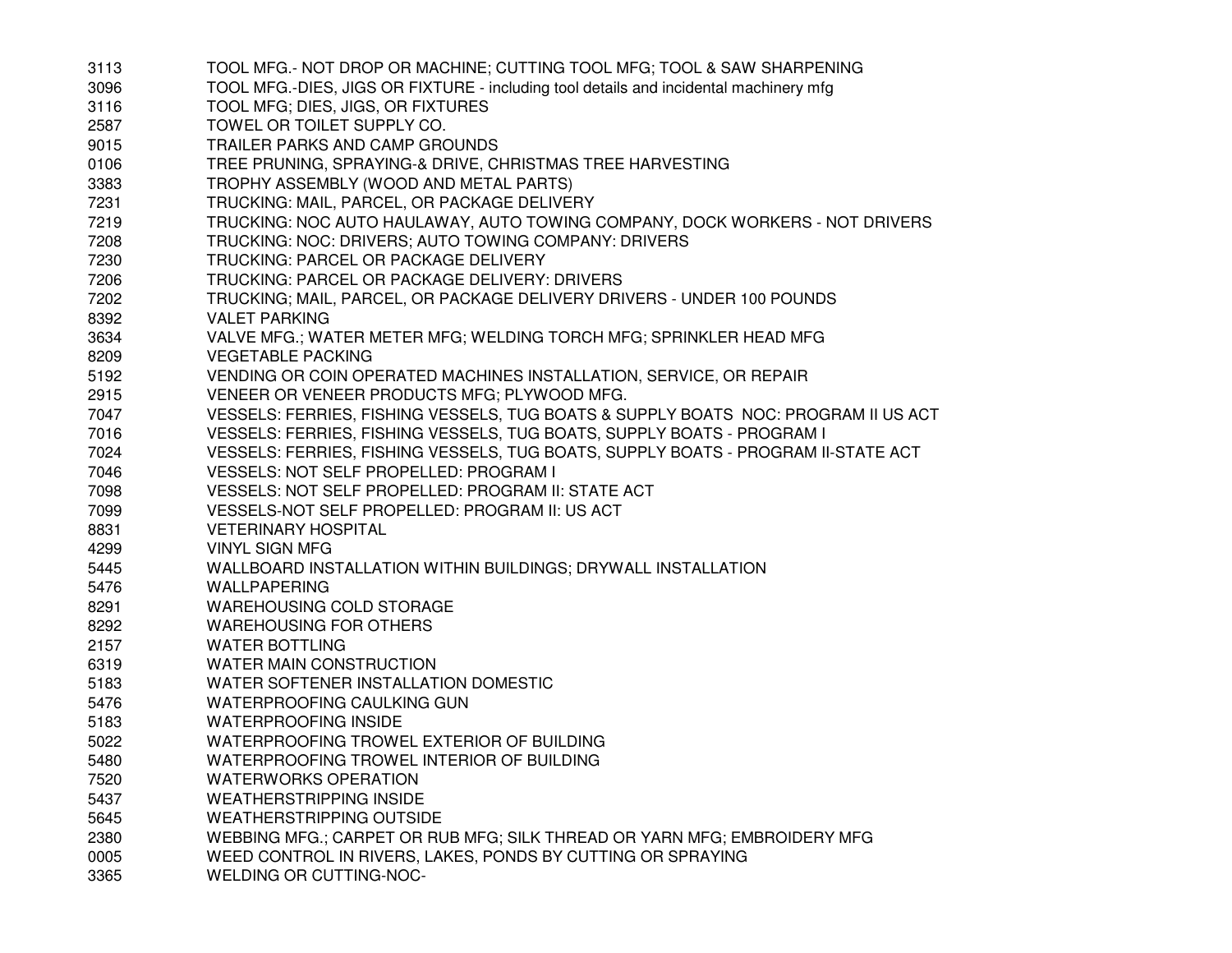| 3113 | TOOL MFG.- NOT DROP OR MACHINE; CUTTING TOOL MFG; TOOL & SAW SHARPENING               |
|------|---------------------------------------------------------------------------------------|
| 3096 | TOOL MFG.-DIES, JIGS OR FIXTURE - including tool details and incidental machinery mfg |
| 3116 | TOOL MFG; DIES, JIGS, OR FIXTURES                                                     |
| 2587 | TOWEL OR TOILET SUPPLY CO.                                                            |
| 9015 | TRAILER PARKS AND CAMP GROUNDS                                                        |
| 0106 | TREE PRUNING, SPRAYING-& DRIVE, CHRISTMAS TREE HARVESTING                             |
| 3383 | TROPHY ASSEMBLY (WOOD AND METAL PARTS)                                                |
| 7231 | TRUCKING: MAIL, PARCEL, OR PACKAGE DELIVERY                                           |
| 7219 | TRUCKING: NOC AUTO HAULAWAY, AUTO TOWING COMPANY, DOCK WORKERS - NOT DRIVERS          |
| 7208 | TRUCKING: NOC: DRIVERS; AUTO TOWING COMPANY: DRIVERS                                  |
| 7230 | TRUCKING: PARCEL OR PACKAGE DELIVERY                                                  |
| 7206 | TRUCKING: PARCEL OR PACKAGE DELIVERY: DRIVERS                                         |
| 7202 | TRUCKING; MAIL, PARCEL, OR PACKAGE DELIVERY DRIVERS - UNDER 100 POUNDS                |
| 8392 | <b>VALET PARKING</b>                                                                  |
| 3634 | VALVE MFG.; WATER METER MFG; WELDING TORCH MFG; SPRINKLER HEAD MFG                    |
| 8209 | <b>VEGETABLE PACKING</b>                                                              |
| 5192 | VENDING OR COIN OPERATED MACHINES INSTALLATION, SERVICE, OR REPAIR                    |
| 2915 | VENEER OR VENEER PRODUCTS MFG; PLYWOOD MFG.                                           |
| 7047 | VESSELS: FERRIES, FISHING VESSELS, TUG BOATS & SUPPLY BOATS NOC: PROGRAM II US ACT    |
| 7016 | VESSELS: FERRIES, FISHING VESSELS, TUG BOATS, SUPPLY BOATS - PROGRAM I                |
| 7024 | VESSELS: FERRIES, FISHING VESSELS, TUG BOATS, SUPPLY BOATS - PROGRAM II-STATE ACT     |
| 7046 | VESSELS: NOT SELF PROPELLED: PROGRAM I                                                |
| 7098 | VESSELS: NOT SELF PROPELLED: PROGRAM II: STATE ACT                                    |
| 7099 | VESSELS-NOT SELF PROPELLED: PROGRAM II: US ACT                                        |
| 8831 | <b>VETERINARY HOSPITAL</b>                                                            |
| 4299 | <b>VINYL SIGN MFG</b>                                                                 |
| 5445 | WALLBOARD INSTALLATION WITHIN BUILDINGS; DRYWALL INSTALLATION                         |
| 5476 | WALLPAPERING                                                                          |
| 8291 | <b>WAREHOUSING COLD STORAGE</b>                                                       |
| 8292 | <b>WAREHOUSING FOR OTHERS</b>                                                         |
| 2157 | <b>WATER BOTTLING</b>                                                                 |
| 6319 | WATER MAIN CONSTRUCTION                                                               |
| 5183 | WATER SOFTENER INSTALLATION DOMESTIC                                                  |
| 5476 | WATERPROOFING CAULKING GUN                                                            |
| 5183 | <b>WATERPROOFING INSIDE</b>                                                           |
| 5022 | WATERPROOFING TROWEL EXTERIOR OF BUILDING                                             |
| 5480 | WATERPROOFING TROWEL INTERIOR OF BUILDING                                             |
| 7520 | <b>WATERWORKS OPERATION</b>                                                           |
| 5437 | <b>WEATHERSTRIPPING INSIDE</b>                                                        |
| 5645 | <b>WEATHERSTRIPPING OUTSIDE</b>                                                       |
| 2380 | WEBBING MFG.; CARPET OR RUB MFG; SILK THREAD OR YARN MFG; EMBROIDERY MFG              |
| 0005 | WEED CONTROL IN RIVERS, LAKES, PONDS BY CUTTING OR SPRAYING                           |
| 3365 | WELDING OR CUTTING-NOC-                                                               |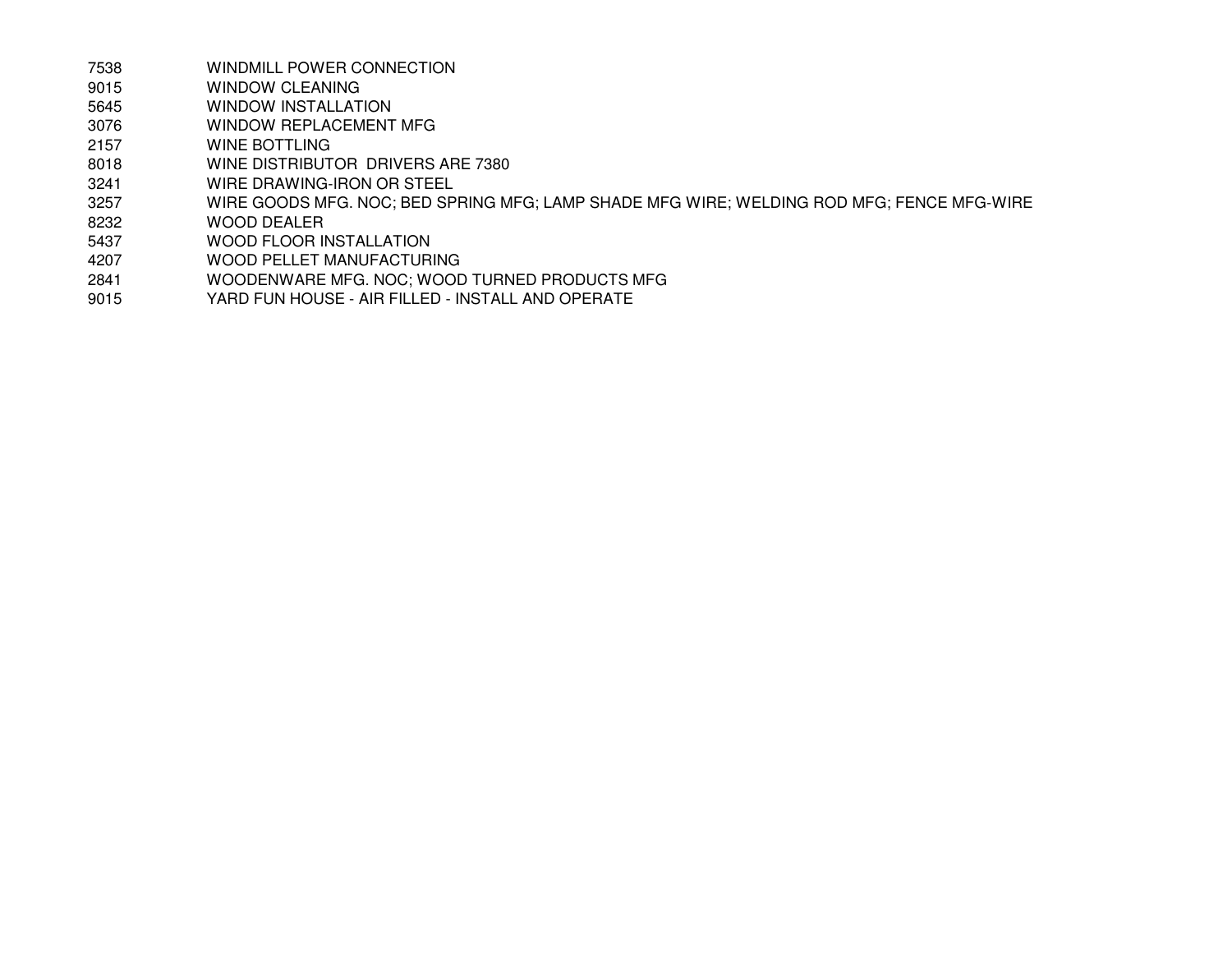- 7538WINDMILL POWER CONNECTION
- 9015WINDOW CLEANING
- 5645WINDOW INSTALLATION
- 3076WINDOW REPLACEMENT MFG
- 2157WINE BOTTLING
- 8018WINE DISTRIBUTOR DRIVERS ARE 7380
- 3241WIRE DRAWING-IRON OR STEEL
- 3257WIRE GOODS MFG. NOC; BED SPRING MFG; LAMP SHADE MFG WIRE; WELDING ROD MFG; FENCE MFG-WIRE
- 8232WOOD DEALER
- 5437WOOD FLOOR INSTALLATION
- 4207WOOD PELLET MANUFACTURING
- 2841WOODENWARE MFG. NOC; WOOD TURNED PRODUCTS MFG
- 9015YARD FUN HOUSE - AIR FILLED - INSTALL AND OPERATE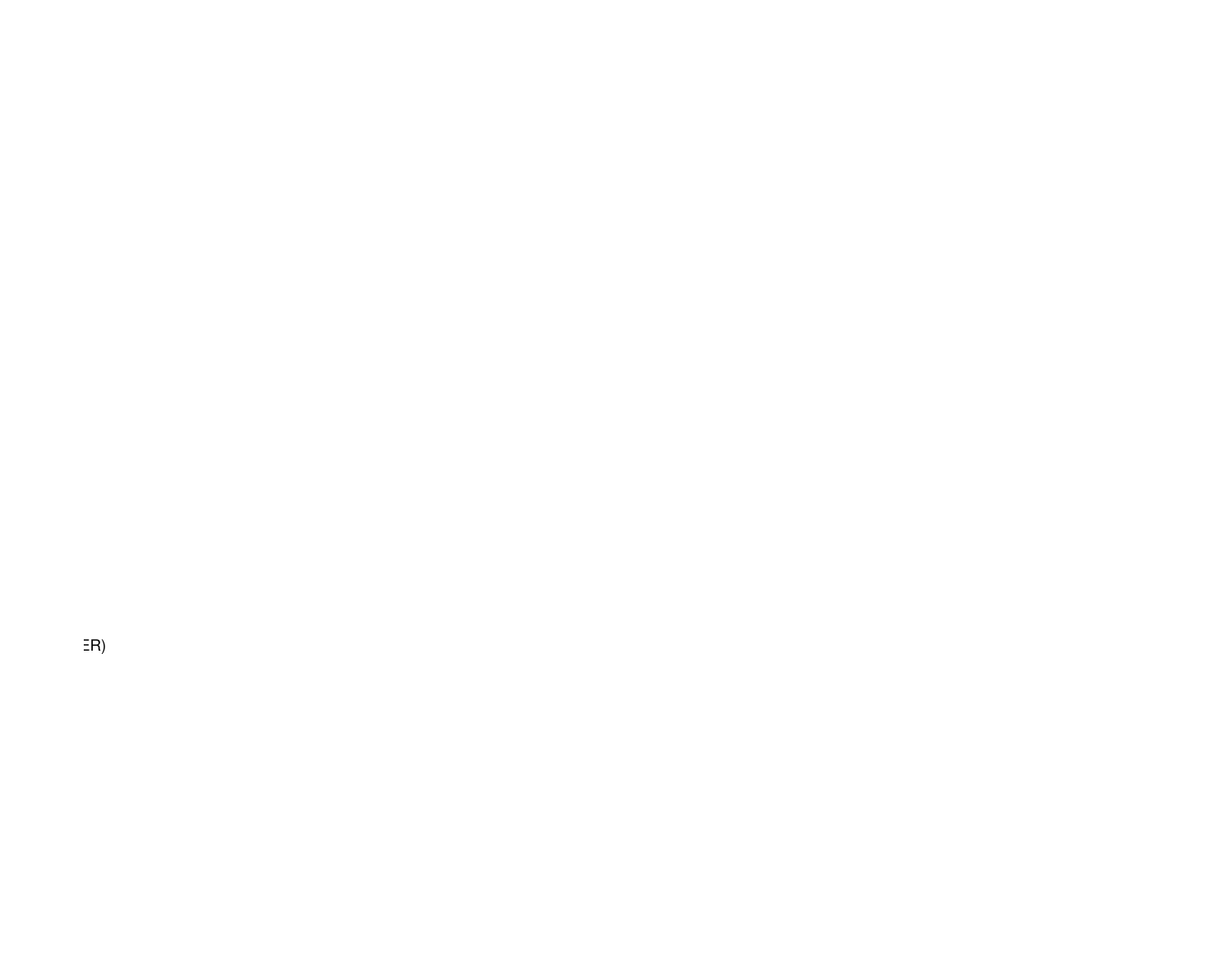SE R)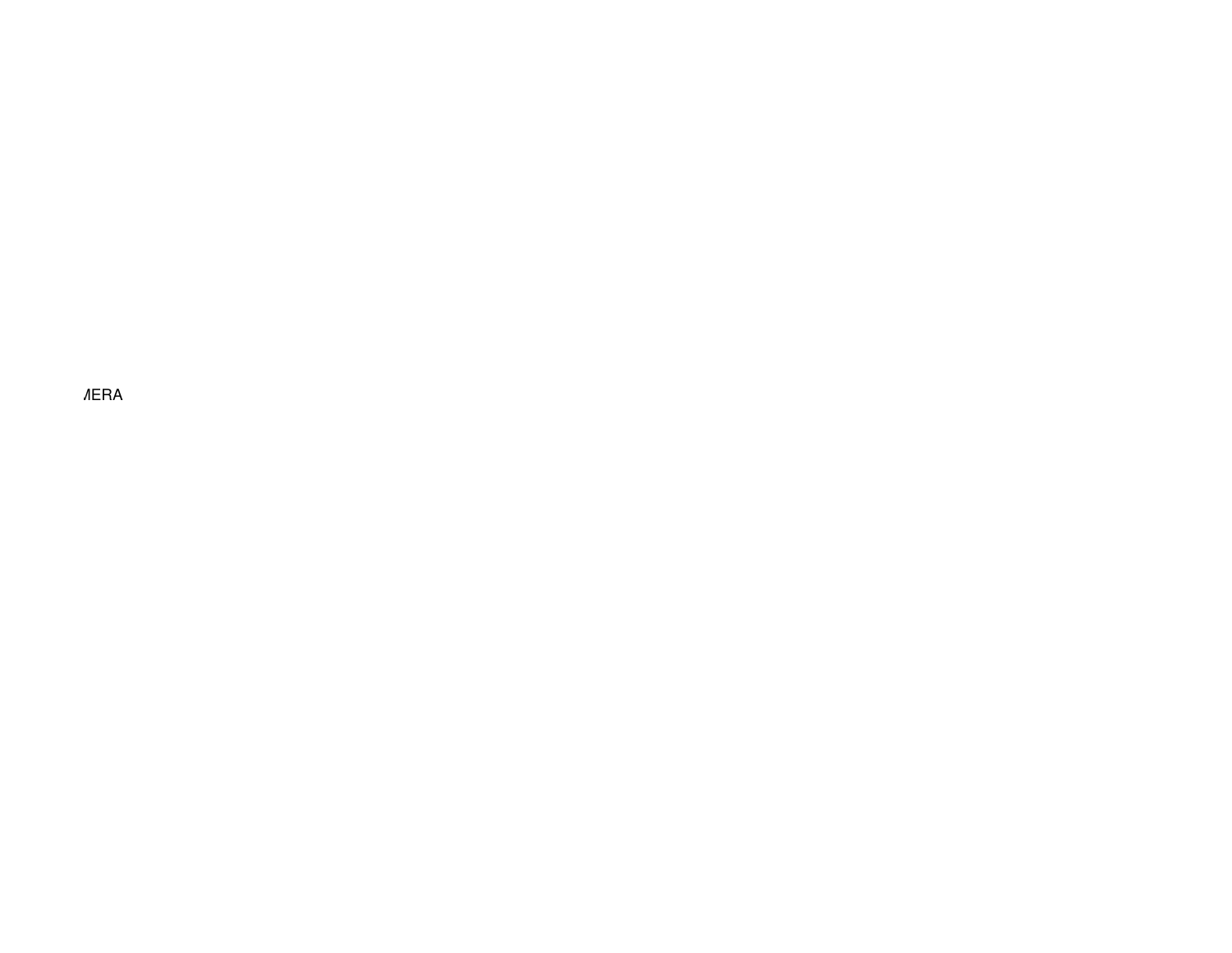CLEANING; CESSPOOL CLEANING; SEWER CLEANING; SNOW REMOVAL; STREET CLEANING;SEWER INSPECTION W/CAMERA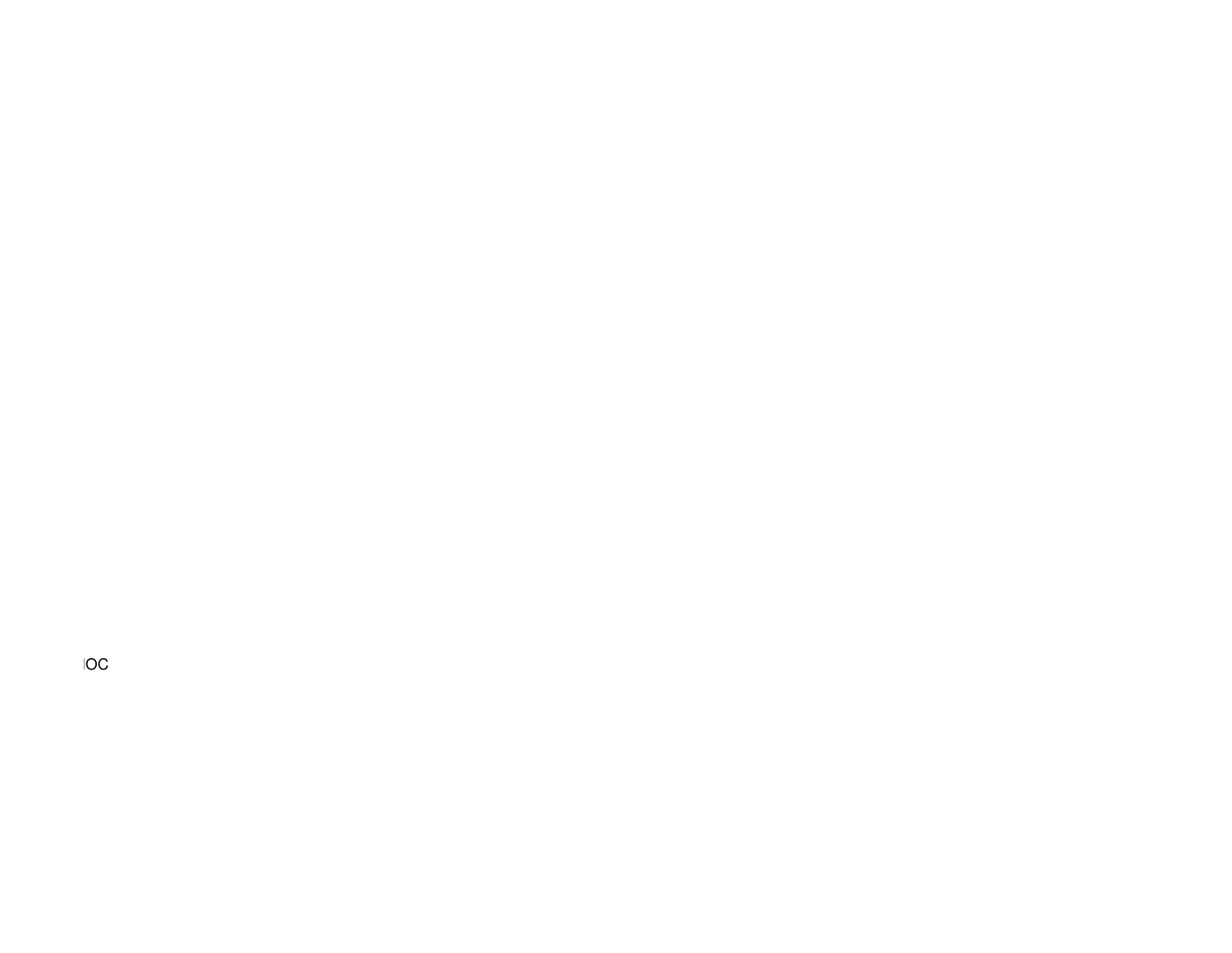$\Box$  Fireproof tile setting;  $\Box$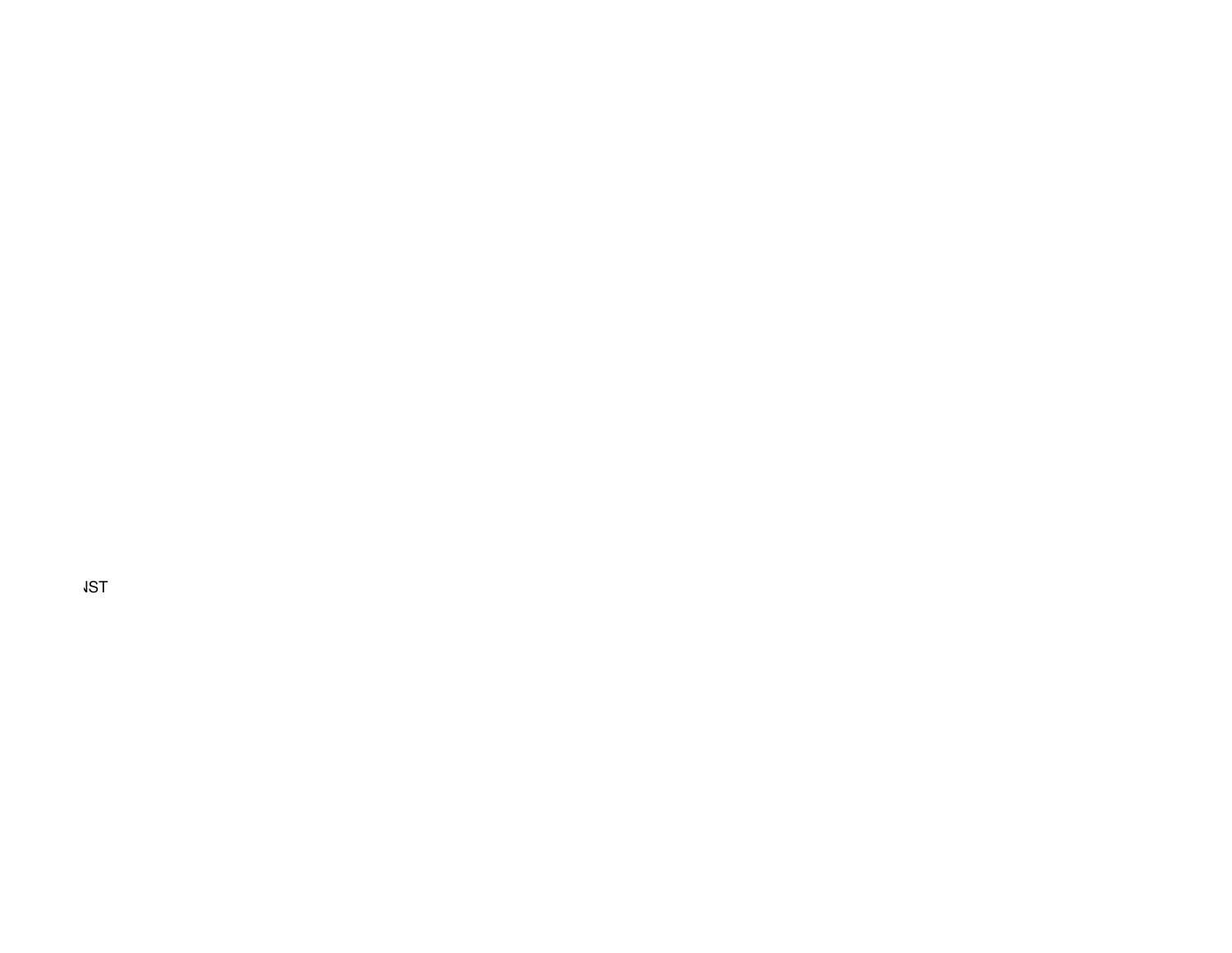NOC; OVERHEAD DOOR INSTALLATION; GASOLINE PUMP OR TANK INSTALLATION; ELECTRIC APPARATUS INST